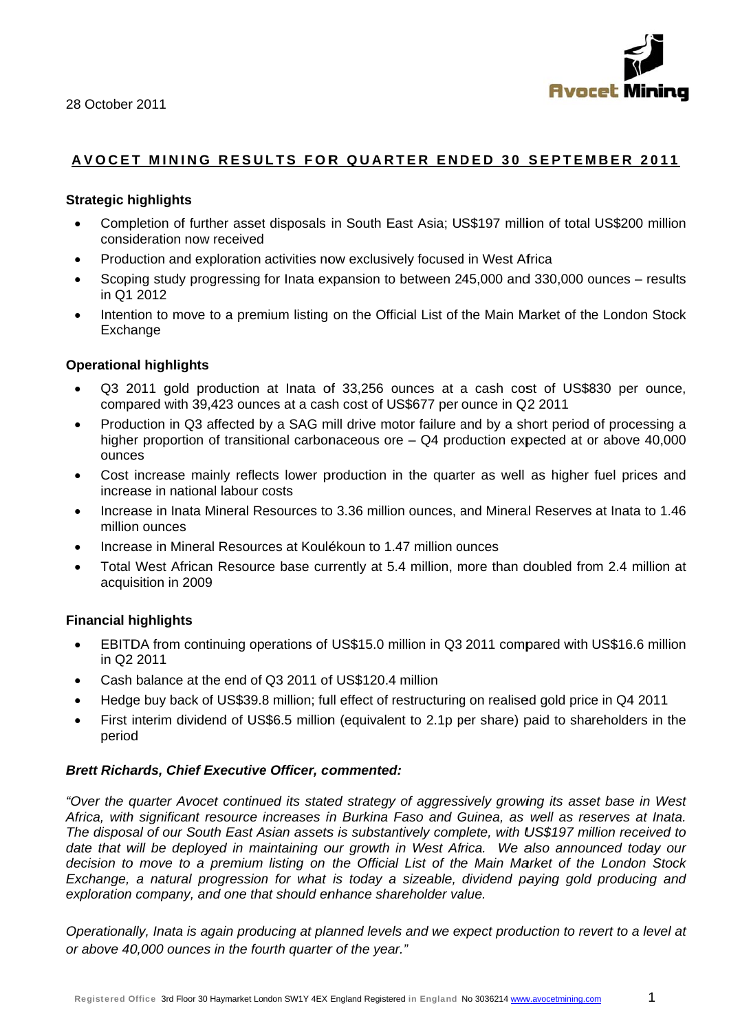



# **AVOCE T MININ G RESU LTS FO R R QUAR TER EN D ED 30 SEPTE M M BER 20 11**

### **Strategic h highlights**

- Completion of further asset disposals in South East Asia; US\$197 million of total US\$200 million consideration now received
- Production and exploration activities now exclusively focused in West Africa
- Scoping study progressing for Inata expansion to between 245,000 and 330,000 ounces results in Q1 2012
- Intention to move to a premium listing on the Official List of the Main Market of the London Stock Excha ange

### **Operational highlights**

- Q3 2011 gold production at Inata of 33,256 ounces at a cash cost of US\$830 per ounce, compared with 39,423 ounces at a cash cost of US\$677 per ounce in Q2 2011
- Production in Q3 affected by a SAG mill drive motor failure and by a short period of processing a higher proportion of transitional carbonaceous ore - Q4 production expected at or above 40,000 ounces
- Cost increase mainly reflects lower production in the quarter as well as higher fuel prices and increase in national labour costs
- Increase in Inata Mineral Resources to 3.36 million ounces, and Mineral Reserves at Inata to 1.46 millio n ounces
- Increase in Mineral Resources at Koulékoun to 1.47 million ounces
- Total West African Resource base currently at 5.4 million, more than doubled from 2.4 million at acquisition in 2009

# **Financial h highlights**

- EBITDA from continuing operations of US\$15.0 million in Q3 2011 compared with US\$16.6 million in Q2 2 2011
- Cash balance at the end of Q3 2011 of US\$120.4 million
- Hedge buy back of US\$39.8 million; full effect of restructuring on realised gold price in Q4 2011
- First interim dividend of US\$6.5 million (equivalent to 2.1p per share) paid to shareholders in the period d

#### *Brett Richards, Chief Executive Officer, commented:*

Africa, with significant resource increases in Burkina Faso and Guinea, as well as reserves at Inata. "Over the quarter Avocet continued its stated strategy of aggressively growing its asset base in West *The disposal of our South East Asian assets is substantively complete, with US\$197 million received to* date that will be deployed in maintaining our growth in West Africa. We also announced today our decision to move to a premium listing on the Official List of the Main Market of the London Stock *Exchange, a natural progression for what is today a sizeable, dividend paying gold producing and* exploration company, and one that should enhance shareholder value.

Operationally, Inata is again producing at planned levels and we expect production to revert to a level at or above 40,000 ounces in the fourth quarter of the year."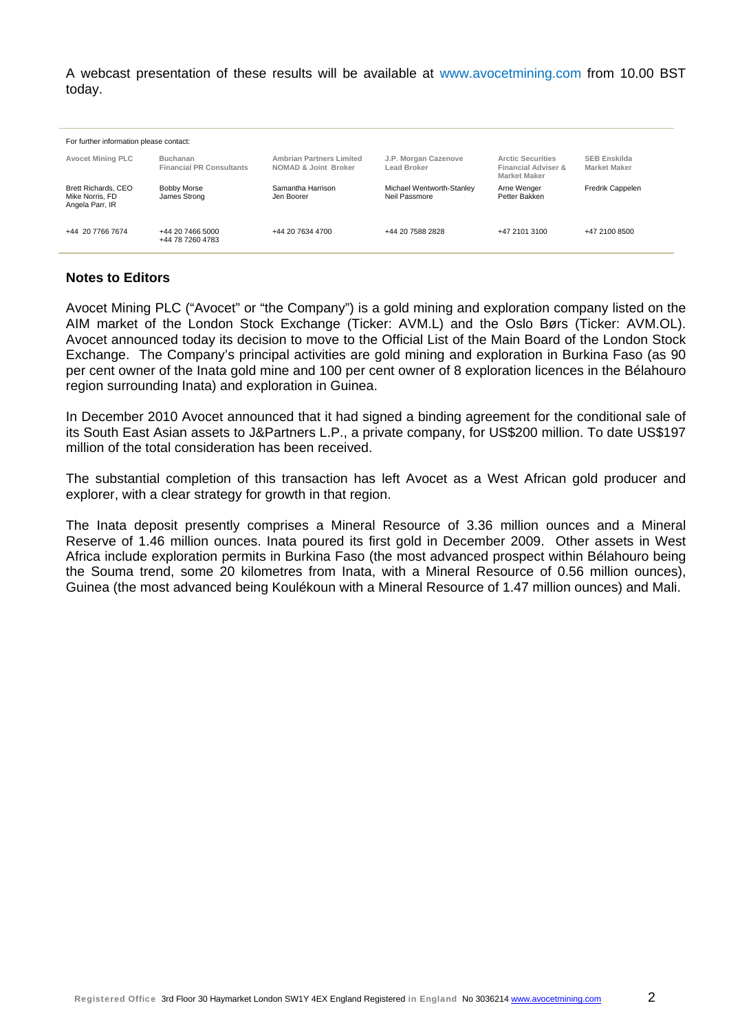A webcast presentation of these results will be available at www.avocetmining.com from 10.00 BST today.

| For further information please contact:                          |                                                    |                                                         |                                            |                                                                        |                                            |  |  |  |  |  |
|------------------------------------------------------------------|----------------------------------------------------|---------------------------------------------------------|--------------------------------------------|------------------------------------------------------------------------|--------------------------------------------|--|--|--|--|--|
| <b>Avocet Mining PLC</b>                                         | <b>Buchanan</b><br><b>Financial PR Consultants</b> | <b>Ambrian Partners Limited</b><br>NOMAD & Joint Broker | J.P. Morgan Cazenove<br>Lead Broker        | <b>Arctic Securities</b><br>Financial Adviser &<br><b>Market Maker</b> | <b>SEB Enskilda</b><br><b>Market Maker</b> |  |  |  |  |  |
| <b>Brett Richards, CEO</b><br>Mike Norris, FD<br>Angela Parr, IR | Bobby Morse<br>James Strong                        | Samantha Harrison<br>Jen Boorer                         | Michael Wentworth-Stanley<br>Neil Passmore | Arne Wenger<br>Petter Bakken                                           | Fredrik Cappelen                           |  |  |  |  |  |
| +44 20 7766 7674                                                 | +44 20 7466 5000<br>+44 78 7260 4783               | +44 20 7634 4700                                        | +44 20 7588 2828                           | +47 2101 3100                                                          | +47 2100 8500                              |  |  |  |  |  |

### **Notes to Editors**

Avocet Mining PLC ("Avocet" or "the Company") is a gold mining and exploration company listed on the AIM market of the London Stock Exchange (Ticker: AVM.L) and the Oslo Børs (Ticker: AVM.OL). Avocet announced today its decision to move to the Official List of the Main Board of the London Stock Exchange. The Company's principal activities are gold mining and exploration in Burkina Faso (as 90 per cent owner of the Inata gold mine and 100 per cent owner of 8 exploration licences in the Bélahouro region surrounding Inata) and exploration in Guinea.

In December 2010 Avocet announced that it had signed a binding agreement for the conditional sale of its South East Asian assets to J&Partners L.P., a private company, for US\$200 million. To date US\$197 million of the total consideration has been received.

The substantial completion of this transaction has left Avocet as a West African gold producer and explorer, with a clear strategy for growth in that region.

The Inata deposit presently comprises a Mineral Resource of 3.36 million ounces and a Mineral Reserve of 1.46 million ounces. Inata poured its first gold in December 2009. Other assets in West Africa include exploration permits in Burkina Faso (the most advanced prospect within Bélahouro being the Souma trend, some 20 kilometres from Inata, with a Mineral Resource of 0.56 million ounces), Guinea (the most advanced being Koulékoun with a Mineral Resource of 1.47 million ounces) and Mali.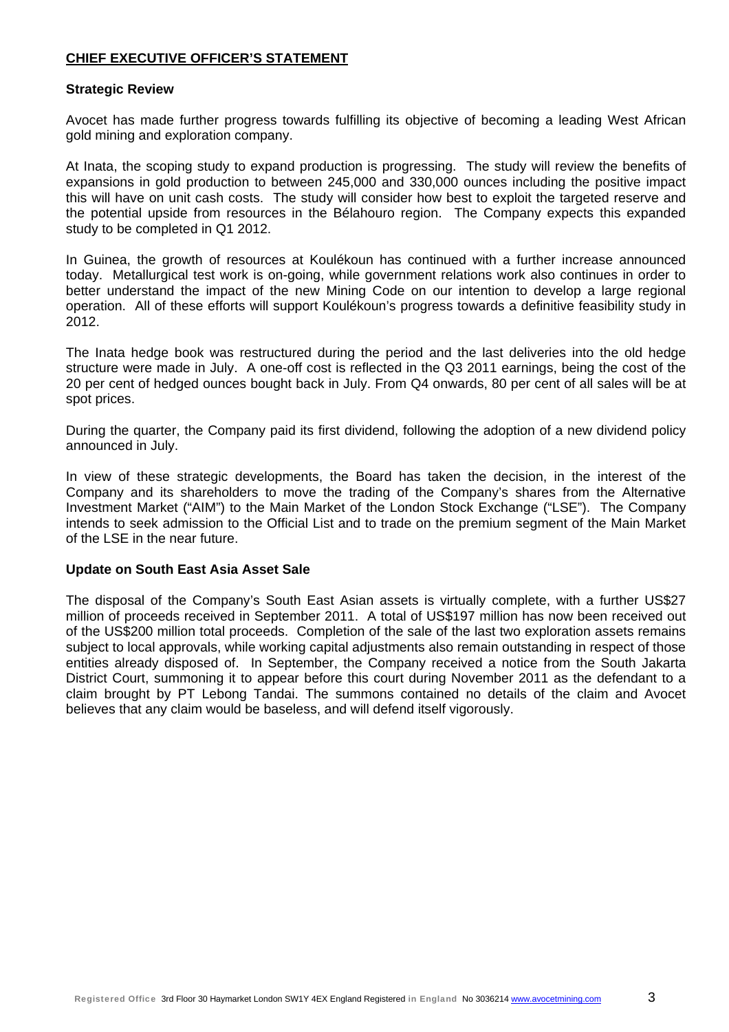### **CHIEF EXECUTIVE OFFICER'S STATEMENT**

#### **Strategic Review**

Avocet has made further progress towards fulfilling its objective of becoming a leading West African gold mining and exploration company.

At Inata, the scoping study to expand production is progressing. The study will review the benefits of expansions in gold production to between 245,000 and 330,000 ounces including the positive impact this will have on unit cash costs. The study will consider how best to exploit the targeted reserve and the potential upside from resources in the Bélahouro region. The Company expects this expanded study to be completed in Q1 2012.

In Guinea, the growth of resources at Koulékoun has continued with a further increase announced today. Metallurgical test work is on-going, while government relations work also continues in order to better understand the impact of the new Mining Code on our intention to develop a large regional operation. All of these efforts will support Koulékoun's progress towards a definitive feasibility study in 2012.

The Inata hedge book was restructured during the period and the last deliveries into the old hedge structure were made in July. A one-off cost is reflected in the Q3 2011 earnings, being the cost of the 20 per cent of hedged ounces bought back in July. From Q4 onwards, 80 per cent of all sales will be at spot prices.

During the quarter, the Company paid its first dividend, following the adoption of a new dividend policy announced in July.

In view of these strategic developments, the Board has taken the decision, in the interest of the Company and its shareholders to move the trading of the Company's shares from the Alternative Investment Market ("AIM") to the Main Market of the London Stock Exchange ("LSE"). The Company intends to seek admission to the Official List and to trade on the premium segment of the Main Market of the LSE in the near future.

#### **Update on South East Asia Asset Sale**

The disposal of the Company's South East Asian assets is virtually complete, with a further US\$27 million of proceeds received in September 2011. A total of US\$197 million has now been received out of the US\$200 million total proceeds. Completion of the sale of the last two exploration assets remains subject to local approvals, while working capital adjustments also remain outstanding in respect of those entities already disposed of. In September, the Company received a notice from the South Jakarta District Court, summoning it to appear before this court during November 2011 as the defendant to a claim brought by PT Lebong Tandai. The summons contained no details of the claim and Avocet believes that any claim would be baseless, and will defend itself vigorously.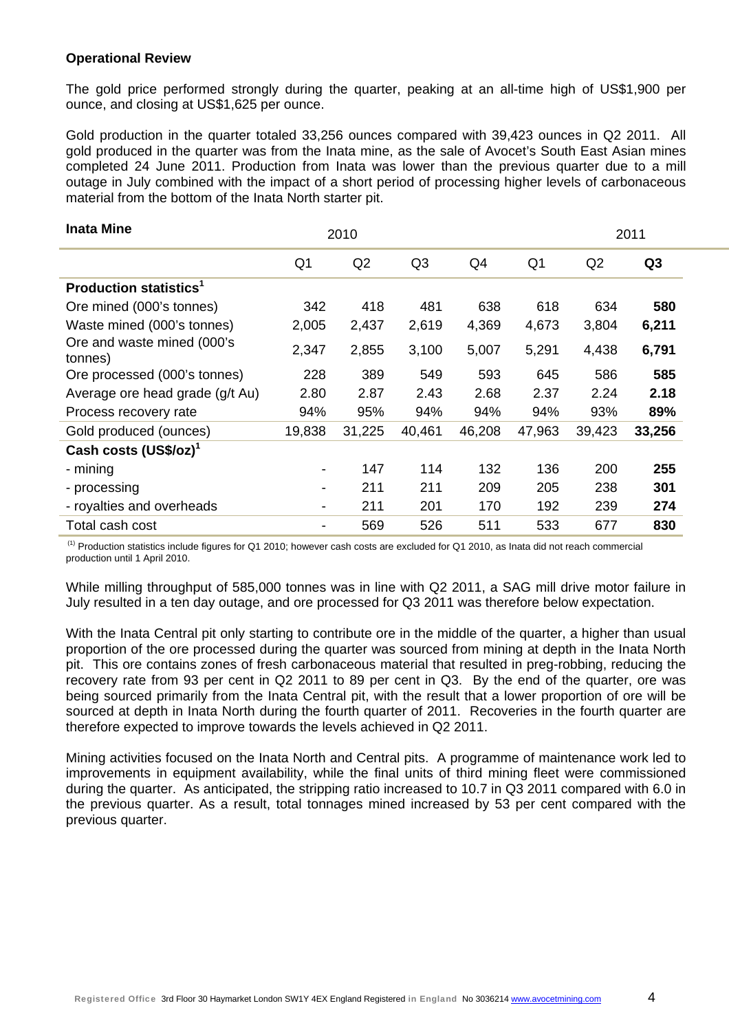### **Operational Review**

The gold price performed strongly during the quarter, peaking at an all-time high of US\$1,900 per ounce, and closing at US\$1,625 per ounce.

Gold production in the quarter totaled 33,256 ounces compared with 39,423 ounces in Q2 2011. All gold produced in the quarter was from the Inata mine, as the sale of Avocet's South East Asian mines completed 24 June 2011. Production from Inata was lower than the previous quarter due to a mill outage in July combined with the impact of a short period of processing higher levels of carbonaceous material from the bottom of the Inata North starter pit.

| <b>Inata Mine</b>                        | 2010                     | 2011   |        |        |                |        |                |
|------------------------------------------|--------------------------|--------|--------|--------|----------------|--------|----------------|
|                                          | Q <sub>1</sub>           | Q2     | Q3     | Q4     | Q <sub>1</sub> | Q2     | Q <sub>3</sub> |
| <b>Production statistics<sup>1</sup></b> |                          |        |        |        |                |        |                |
| Ore mined (000's tonnes)                 | 342                      | 418    | 481    | 638    | 618            | 634    | 580            |
| Waste mined (000's tonnes)               | 2,005                    | 2,437  | 2,619  | 4,369  | 4,673          | 3,804  | 6,211          |
| Ore and waste mined (000's<br>tonnes)    | 2,347                    | 2,855  | 3,100  | 5,007  | 5,291          | 4,438  | 6,791          |
| Ore processed (000's tonnes)             | 228                      | 389    | 549    | 593    | 645            | 586    | 585            |
| Average ore head grade (g/t Au)          | 2.80                     | 2.87   | 2.43   | 2.68   | 2.37           | 2.24   | 2.18           |
| Process recovery rate                    | 94%                      | 95%    | 94%    | 94%    | 94%            | 93%    | 89%            |
| Gold produced (ounces)                   | 19,838                   | 31,225 | 40,461 | 46,208 | 47,963         | 39,423 | 33,256         |
| Cash costs (US\$/oz) <sup>1</sup>        |                          |        |        |        |                |        |                |
| - mining                                 | $\blacksquare$           | 147    | 114    | 132    | 136            | 200    | 255            |
| - processing                             | $\overline{\phantom{a}}$ | 211    | 211    | 209    | 205            | 238    | 301            |
| - royalties and overheads                | $\overline{\phantom{a}}$ | 211    | 201    | 170    | 192            | 239    | 274            |
| Total cash cost                          |                          | 569    | 526    | 511    | 533            | 677    | 830            |

 (1) Production statistics include figures for Q1 2010; however cash costs are excluded for Q1 2010, as Inata did not reach commercial production until 1 April 2010.

While milling throughput of 585,000 tonnes was in line with Q2 2011, a SAG mill drive motor failure in July resulted in a ten day outage, and ore processed for Q3 2011 was therefore below expectation.

With the Inata Central pit only starting to contribute ore in the middle of the quarter, a higher than usual proportion of the ore processed during the quarter was sourced from mining at depth in the Inata North pit. This ore contains zones of fresh carbonaceous material that resulted in preg-robbing, reducing the recovery rate from 93 per cent in Q2 2011 to 89 per cent in Q3. By the end of the quarter, ore was being sourced primarily from the Inata Central pit, with the result that a lower proportion of ore will be sourced at depth in Inata North during the fourth quarter of 2011. Recoveries in the fourth quarter are therefore expected to improve towards the levels achieved in Q2 2011.

Mining activities focused on the Inata North and Central pits. A programme of maintenance work led to improvements in equipment availability, while the final units of third mining fleet were commissioned during the quarter. As anticipated, the stripping ratio increased to 10.7 in Q3 2011 compared with 6.0 in the previous quarter. As a result, total tonnages mined increased by 53 per cent compared with the previous quarter.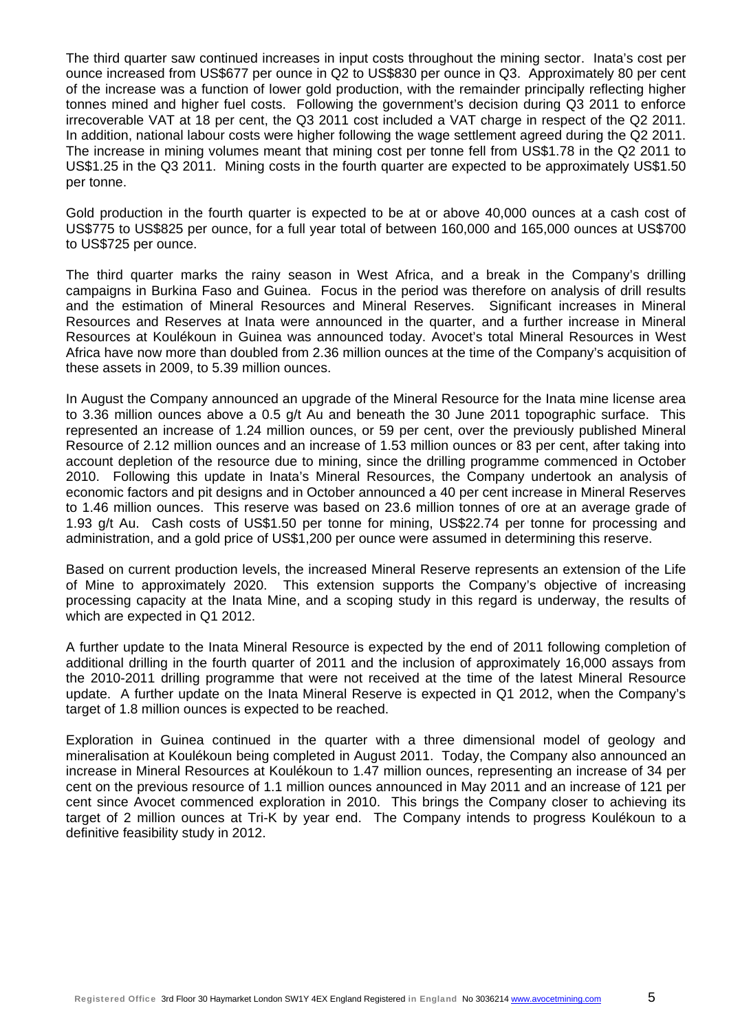The third quarter saw continued increases in input costs throughout the mining sector. Inata's cost per ounce increased from US\$677 per ounce in Q2 to US\$830 per ounce in Q3. Approximately 80 per cent of the increase was a function of lower gold production, with the remainder principally reflecting higher tonnes mined and higher fuel costs. Following the government's decision during Q3 2011 to enforce irrecoverable VAT at 18 per cent, the Q3 2011 cost included a VAT charge in respect of the Q2 2011. In addition, national labour costs were higher following the wage settlement agreed during the Q2 2011. The increase in mining volumes meant that mining cost per tonne fell from US\$1.78 in the Q2 2011 to US\$1.25 in the Q3 2011. Mining costs in the fourth quarter are expected to be approximately US\$1.50 per tonne.

Gold production in the fourth quarter is expected to be at or above 40,000 ounces at a cash cost of US\$775 to US\$825 per ounce, for a full year total of between 160,000 and 165,000 ounces at US\$700 to US\$725 per ounce.

The third quarter marks the rainy season in West Africa, and a break in the Company's drilling campaigns in Burkina Faso and Guinea. Focus in the period was therefore on analysis of drill results and the estimation of Mineral Resources and Mineral Reserves. Significant increases in Mineral Resources and Reserves at Inata were announced in the quarter, and a further increase in Mineral Resources at Koulékoun in Guinea was announced today. Avocet's total Mineral Resources in West Africa have now more than doubled from 2.36 million ounces at the time of the Company's acquisition of these assets in 2009, to 5.39 million ounces.

In August the Company announced an upgrade of the Mineral Resource for the Inata mine license area to 3.36 million ounces above a 0.5 g/t Au and beneath the 30 June 2011 topographic surface. This represented an increase of 1.24 million ounces, or 59 per cent, over the previously published Mineral Resource of 2.12 million ounces and an increase of 1.53 million ounces or 83 per cent, after taking into account depletion of the resource due to mining, since the drilling programme commenced in October 2010. Following this update in Inata's Mineral Resources, the Company undertook an analysis of economic factors and pit designs and in October announced a 40 per cent increase in Mineral Reserves to 1.46 million ounces. This reserve was based on 23.6 million tonnes of ore at an average grade of 1.93 g/t Au. Cash costs of US\$1.50 per tonne for mining, US\$22.74 per tonne for processing and administration, and a gold price of US\$1,200 per ounce were assumed in determining this reserve.

Based on current production levels, the increased Mineral Reserve represents an extension of the Life of Mine to approximately 2020. This extension supports the Company's objective of increasing processing capacity at the Inata Mine, and a scoping study in this regard is underway, the results of which are expected in Q1 2012.

A further update to the Inata Mineral Resource is expected by the end of 2011 following completion of additional drilling in the fourth quarter of 2011 and the inclusion of approximately 16,000 assays from the 2010-2011 drilling programme that were not received at the time of the latest Mineral Resource update. A further update on the Inata Mineral Reserve is expected in Q1 2012, when the Company's target of 1.8 million ounces is expected to be reached.

Exploration in Guinea continued in the quarter with a three dimensional model of geology and mineralisation at Koulékoun being completed in August 2011. Today, the Company also announced an increase in Mineral Resources at Koulékoun to 1.47 million ounces, representing an increase of 34 per cent on the previous resource of 1.1 million ounces announced in May 2011 and an increase of 121 per cent since Avocet commenced exploration in 2010. This brings the Company closer to achieving its target of 2 million ounces at Tri-K by year end. The Company intends to progress Koulékoun to a definitive feasibility study in 2012.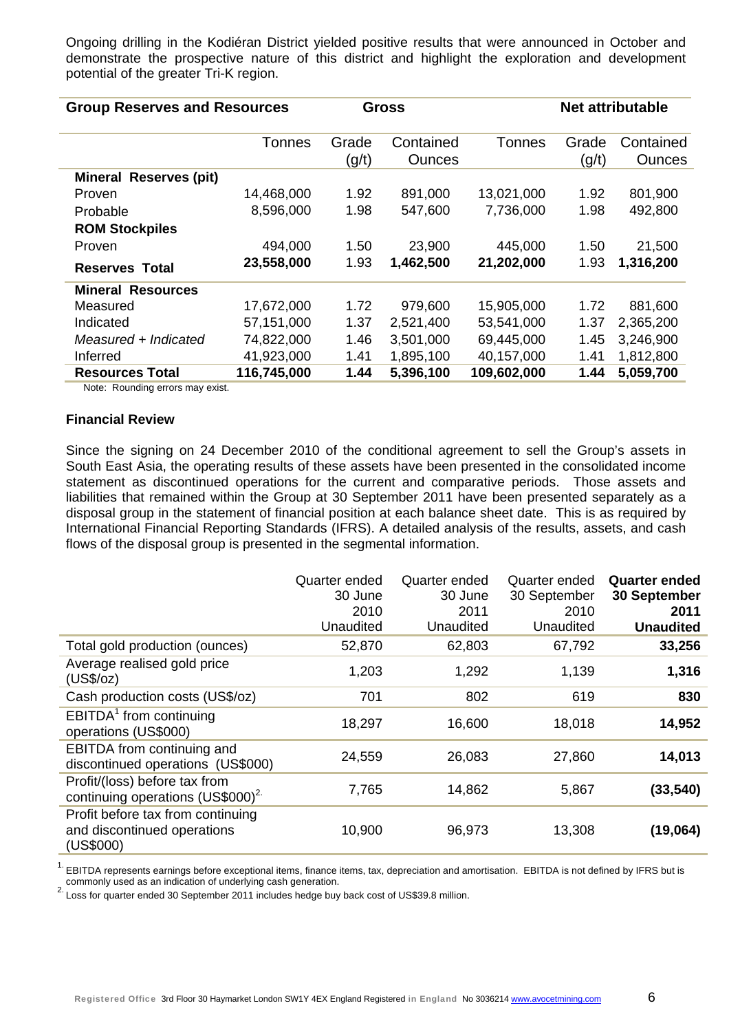Ongoing drilling in the Kodiéran District yielded positive results that were announced in October and demonstrate the prospective nature of this district and highlight the exploration and development potential of the greater Tri-K region.

| <b>Group Reserves and Resources</b> |             |                | <b>Gross</b>               |             | <b>Net attributable</b> |                            |  |
|-------------------------------------|-------------|----------------|----------------------------|-------------|-------------------------|----------------------------|--|
|                                     | Tonnes      | Grade<br>(g/t) | Contained<br><b>Ounces</b> | Tonnes      | Grade<br>(g/t)          | Contained<br><b>Ounces</b> |  |
| <b>Mineral Reserves (pit)</b>       |             |                |                            |             |                         |                            |  |
| Proven                              | 14,468,000  | 1.92           | 891,000                    | 13,021,000  | 1.92                    | 801,900                    |  |
| Probable                            | 8,596,000   | 1.98           | 547,600                    | 7,736,000   | 1.98                    | 492,800                    |  |
| <b>ROM Stockpiles</b>               |             |                |                            |             |                         |                            |  |
| Proven                              | 494,000     | 1.50           | 23,900                     | 445,000     | 1.50                    | 21,500                     |  |
| <b>Reserves Total</b>               | 23,558,000  | 1.93           | 1,462,500                  | 21,202,000  | 1.93                    | 1,316,200                  |  |
| <b>Mineral Resources</b>            |             |                |                            |             |                         |                            |  |
| Measured                            | 17,672,000  | 1.72           | 979,600                    | 15,905,000  | 1.72                    | 881,600                    |  |
| Indicated                           | 57,151,000  | 1.37           | 2,521,400                  | 53,541,000  | 1.37                    | 2,365,200                  |  |
| Measured + Indicated                | 74,822,000  | 1.46           | 3,501,000                  | 69,445,000  | 1.45                    | 3,246,900                  |  |
| Inferred                            | 41,923,000  | 1.41           | 1,895,100                  | 40,157,000  | 1.41                    | 1,812,800                  |  |
| <b>Resources Total</b>              | 116,745,000 | 1.44           | 5,396,100                  | 109,602,000 | 1.44                    | 5,059,700                  |  |

Note: Rounding errors may exist.

#### **Financial Review**

Since the signing on 24 December 2010 of the conditional agreement to sell the Group's assets in South East Asia, the operating results of these assets have been presented in the consolidated income statement as discontinued operations for the current and comparative periods. Those assets and liabilities that remained within the Group at 30 September 2011 have been presented separately as a disposal group in the statement of financial position at each balance sheet date. This is as required by International Financial Reporting Standards (IFRS). A detailed analysis of the results, assets, and cash flows of the disposal group is presented in the segmental information.

|                                                                               | Quarter ended<br>30 June<br>2010<br>Unaudited | Quarter ended<br>30 June<br>2011<br>Unaudited | Quarter ended<br>30 September<br>2010<br>Unaudited | <b>Quarter ended</b><br><b>30 September</b><br>2011<br><b>Unaudited</b> |
|-------------------------------------------------------------------------------|-----------------------------------------------|-----------------------------------------------|----------------------------------------------------|-------------------------------------------------------------------------|
| Total gold production (ounces)                                                | 52,870                                        | 62,803                                        | 67,792                                             | 33,256                                                                  |
| Average realised gold price<br>(US\$/oz)                                      | 1,203                                         | 1,292                                         | 1,139                                              | 1,316                                                                   |
| Cash production costs (US\$/oz)                                               | 701                                           | 802                                           | 619                                                | 830                                                                     |
| EBITDA <sup>1</sup> from continuing<br>operations (US\$000)                   | 18,297                                        | 16,600                                        | 18,018                                             | 14,952                                                                  |
| EBITDA from continuing and<br>discontinued operations (US\$000)               | 24,559                                        | 26,083                                        | 27,860                                             | 14,013                                                                  |
| Profit/(loss) before tax from<br>continuing operations (US\$000) <sup>2</sup> | 7,765                                         | 14,862                                        | 5,867                                              | (33, 540)                                                               |
| Profit before tax from continuing<br>and discontinued operations<br>(US\$000) | 10,900                                        | 96,973                                        | 13,308                                             | (19,064)                                                                |

<sup>1.</sup> EBITDA represents earnings before exceptional items, finance items, tax, depreciation and amortisation. EBITDA is not defined by IFRS but is commonly used as an indication of underlying cash generation. commonly used as an indication of underlying cash generation.<br><sup>2.</sup> Loss for quarter ended 30 September 2011 includes hedge buy back cost of US\$39.8 million.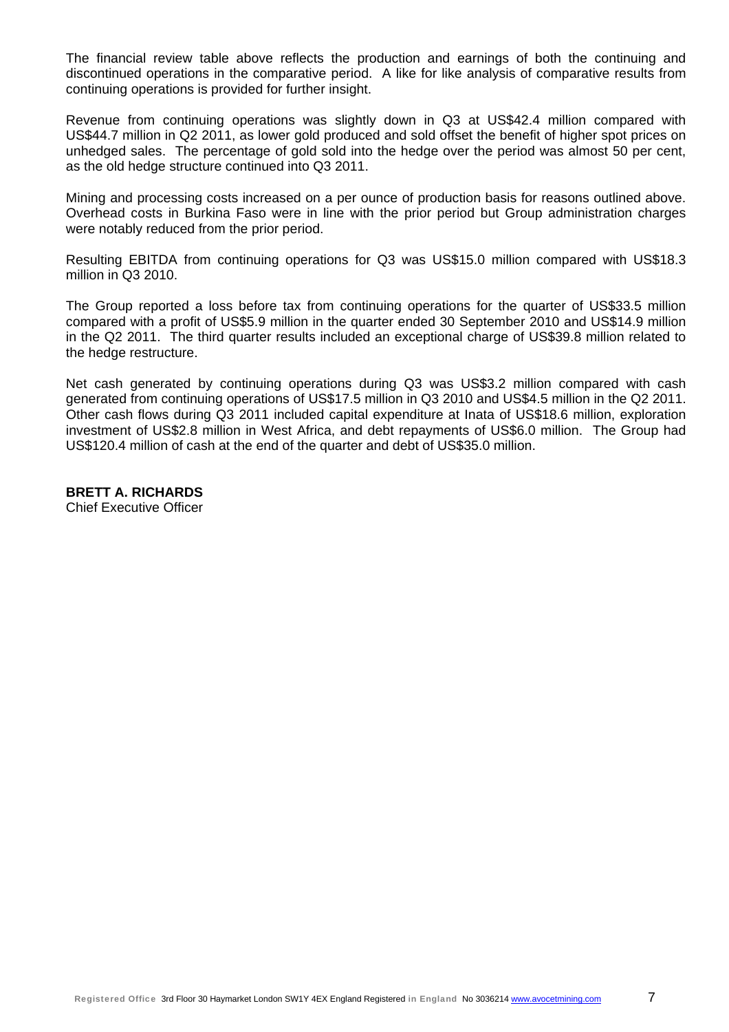The financial review table above reflects the production and earnings of both the continuing and discontinued operations in the comparative period. A like for like analysis of comparative results from continuing operations is provided for further insight.

Revenue from continuing operations was slightly down in Q3 at US\$42.4 million compared with US\$44.7 million in Q2 2011, as lower gold produced and sold offset the benefit of higher spot prices on unhedged sales. The percentage of gold sold into the hedge over the period was almost 50 per cent, as the old hedge structure continued into Q3 2011.

Mining and processing costs increased on a per ounce of production basis for reasons outlined above. Overhead costs in Burkina Faso were in line with the prior period but Group administration charges were notably reduced from the prior period.

Resulting EBITDA from continuing operations for Q3 was US\$15.0 million compared with US\$18.3 million in Q3 2010.

The Group reported a loss before tax from continuing operations for the quarter of US\$33.5 million compared with a profit of US\$5.9 million in the quarter ended 30 September 2010 and US\$14.9 million in the Q2 2011. The third quarter results included an exceptional charge of US\$39.8 million related to the hedge restructure.

Net cash generated by continuing operations during Q3 was US\$3.2 million compared with cash generated from continuing operations of US\$17.5 million in Q3 2010 and US\$4.5 million in the Q2 2011. Other cash flows during Q3 2011 included capital expenditure at Inata of US\$18.6 million, exploration investment of US\$2.8 million in West Africa, and debt repayments of US\$6.0 million. The Group had US\$120.4 million of cash at the end of the quarter and debt of US\$35.0 million.

**BRETT A. RICHARDS**  Chief Executive Officer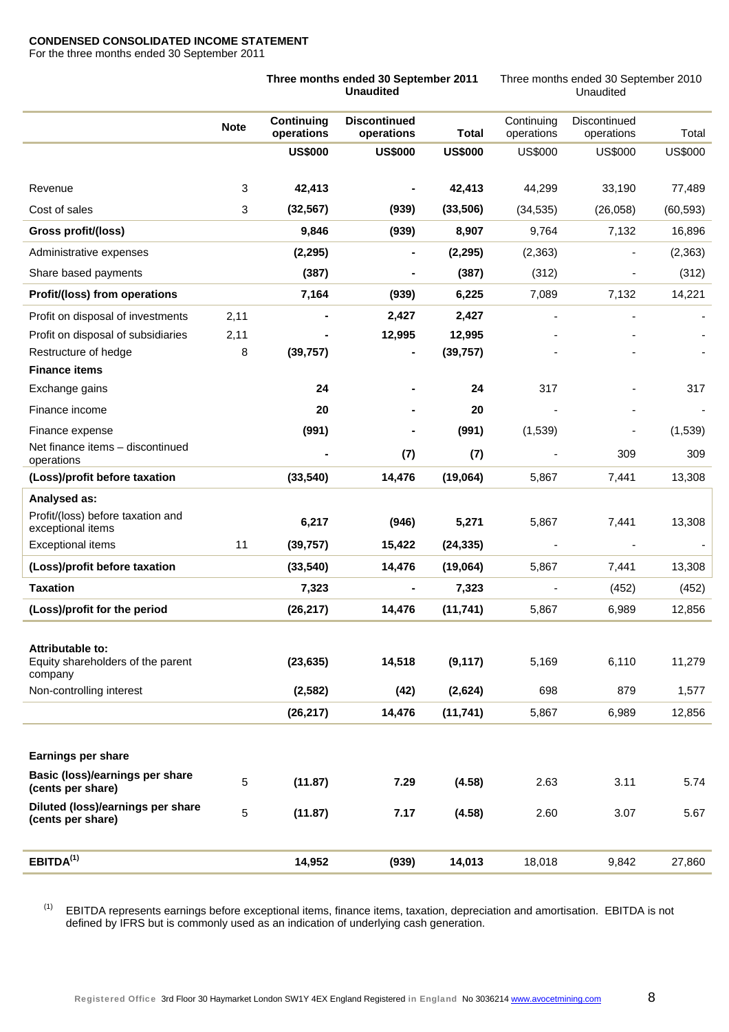#### **CONDENSED CONSOLIDATED INCOME STATEMENT**

For the three months ended 30 September 2011

|                                                        |                                 | Three months ended 30 September 2011<br><b>Unaudited</b> |                | Three months ended 30 September 2010<br>Unaudited |                              |                |  |
|--------------------------------------------------------|---------------------------------|----------------------------------------------------------|----------------|---------------------------------------------------|------------------------------|----------------|--|
| <b>Note</b>                                            | <b>Continuing</b><br>operations | <b>Discontinued</b><br>operations                        | <b>Total</b>   | Continuing<br>operations                          | Discontinued<br>operations   | Total          |  |
|                                                        | <b>US\$000</b>                  | <b>US\$000</b>                                           | <b>US\$000</b> | <b>US\$000</b>                                    | <b>US\$000</b>               | <b>US\$000</b> |  |
| Revenue                                                | 3<br>42,413                     |                                                          | 42,413         | 44,299                                            | 33,190                       | 77,489         |  |
| Cost of sales                                          | 3<br>(32, 567)                  | (939)                                                    | (33,506)       | (34, 535)                                         | (26,058)                     | (60, 593)      |  |
| Gross profit/(loss)                                    | 9,846                           | (939)                                                    | 8,907          | 9,764                                             | 7,132                        | 16,896         |  |
| Administrative expenses                                | (2, 295)                        | ۰                                                        | (2, 295)       | (2, 363)                                          | $\qquad \qquad \blacksquare$ | (2, 363)       |  |
| Share based payments                                   | (387)                           |                                                          | (387)          | (312)                                             |                              | (312)          |  |
| Profit/(loss) from operations                          | 7,164                           | (939)                                                    | 6,225          | 7,089                                             | 7,132                        | 14,221         |  |
| 2,11<br>Profit on disposal of investments              |                                 | 2,427                                                    | 2,427          |                                                   | ÷,                           |                |  |
| 2,11<br>Profit on disposal of subsidiaries             |                                 | 12,995                                                   | 12,995         |                                                   |                              |                |  |
| Restructure of hedge                                   | 8<br>(39, 757)                  | $\overline{\phantom{0}}$                                 | (39, 757)      |                                                   |                              |                |  |
| <b>Finance items</b>                                   |                                 |                                                          |                |                                                   |                              |                |  |
| Exchange gains                                         | 24                              |                                                          | 24             | 317                                               |                              | 317            |  |
| Finance income                                         | 20                              |                                                          | 20             |                                                   |                              |                |  |
| Finance expense                                        | (991)                           |                                                          | (991)          | (1,539)                                           |                              | (1,539)        |  |
| Net finance items - discontinued<br>operations         |                                 | (7)                                                      | (7)            |                                                   | 309                          | 309            |  |
| (Loss)/profit before taxation                          | (33, 540)                       | 14,476                                                   | (19,064)       | 5,867                                             | 7,441                        | 13,308         |  |
| Analysed as:                                           |                                 |                                                          |                |                                                   |                              |                |  |
| Profit/(loss) before taxation and<br>exceptional items | 6,217                           | (946)                                                    | 5,271          | 5,867                                             | 7,441                        | 13,308         |  |
| <b>Exceptional items</b><br>11                         | (39, 757)                       | 15,422                                                   | (24, 335)      |                                                   |                              |                |  |
| (Loss)/profit before taxation                          | (33, 540)                       | 14,476                                                   | (19,064)       | 5,867                                             | 7,441                        | 13,308         |  |
| <b>Taxation</b>                                        | 7,323                           | $\blacksquare$                                           | 7,323          | $\overline{\phantom{a}}$                          | (452)                        | (452)          |  |
| (Loss)/profit for the period                           | (26, 217)                       | 14,476                                                   | (11, 741)      | 5,867                                             | 6,989                        | 12,856         |  |
|                                                        |                                 |                                                          |                |                                                   |                              |                |  |
| Attributable to:<br>Equity shareholders of the parent  | (23, 635)                       | 14,518                                                   | (9, 117)       | 5,169                                             | 6,110                        | 11,279         |  |
| company<br>Non-controlling interest                    | (2, 582)                        | (42)                                                     | (2,624)        | 698                                               | 879                          | 1,577          |  |
|                                                        | (26, 217)                       | 14,476                                                   | (11, 741)      | 5,867                                             | 6,989                        | 12,856         |  |
|                                                        |                                 |                                                          |                |                                                   |                              |                |  |
| <b>Earnings per share</b>                              |                                 |                                                          |                |                                                   |                              |                |  |
| Basic (loss)/earnings per share<br>(cents per share)   | 5<br>(11.87)                    | 7.29                                                     | (4.58)         | 2.63                                              | 3.11                         | 5.74           |  |
| Diluted (loss)/earnings per share                      |                                 |                                                          |                |                                                   |                              |                |  |
| (cents per share)                                      |                                 |                                                          |                |                                                   |                              |                |  |
|                                                        | 5<br>(11.87)                    | 7.17                                                     | (4.58)         | 2.60                                              | 3.07                         | 5.67           |  |

(1) EBITDA represents earnings before exceptional items, finance items, taxation, depreciation and amortisation. EBITDA is not defined by IFRS but is commonly used as an indication of underlying cash generation.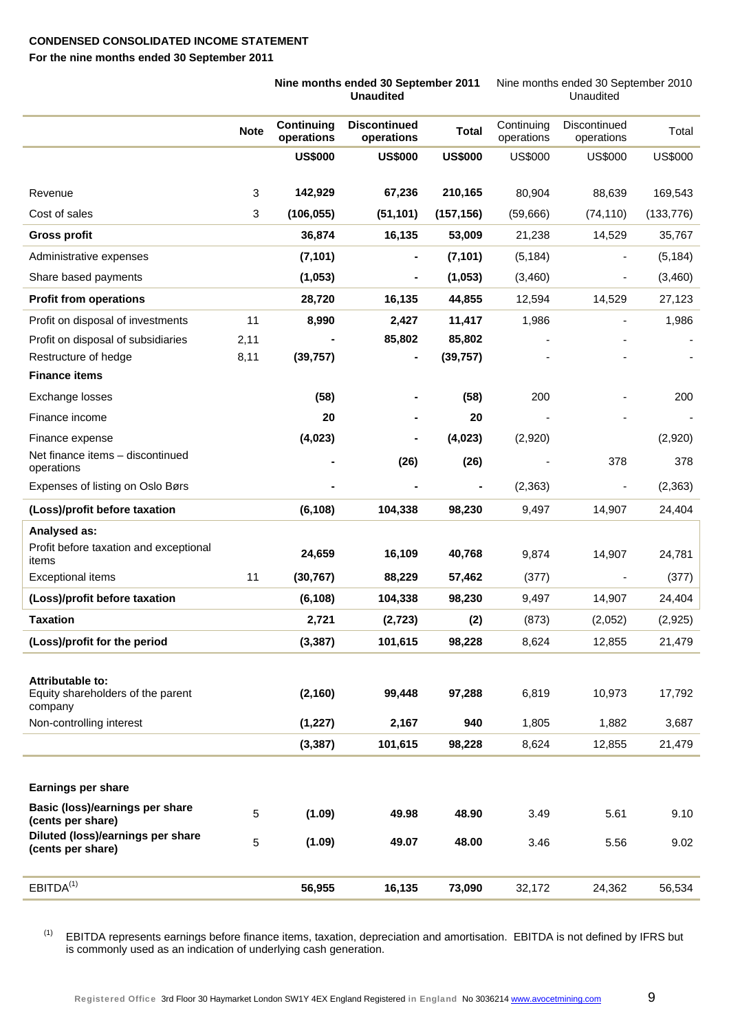#### **CONDENSED CONSOLIDATED INCOME STATEMENT**

**For the nine months ended 30 September 2011** 

|                                                                  |                                                | Nine months ended 30 September 2011<br><b>Unaudited</b> |                |                          | Nine months ended 30 September 2010<br>Unaudited |                |  |
|------------------------------------------------------------------|------------------------------------------------|---------------------------------------------------------|----------------|--------------------------|--------------------------------------------------|----------------|--|
|                                                                  | <b>Continuing</b><br><b>Note</b><br>operations | <b>Discontinued</b><br>operations                       | <b>Total</b>   | Continuing<br>operations | Discontinued<br>operations                       | Total          |  |
|                                                                  | <b>US\$000</b>                                 | <b>US\$000</b>                                          | <b>US\$000</b> | <b>US\$000</b>           | <b>US\$000</b>                                   | <b>US\$000</b> |  |
| Revenue                                                          | 3<br>142,929                                   | 67,236                                                  | 210,165        | 80,904                   | 88,639                                           | 169,543        |  |
| Cost of sales                                                    | 3<br>(106, 055)                                | (51, 101)                                               | (157, 156)     | (59,666)                 | (74, 110)                                        | (133, 776)     |  |
| <b>Gross profit</b>                                              | 36,874                                         | 16,135                                                  | 53,009         | 21,238                   | 14,529                                           | 35,767         |  |
| Administrative expenses                                          | (7, 101)                                       | $\blacksquare$                                          | (7, 101)       | (5, 184)                 | $\overline{\phantom{a}}$                         | (5, 184)       |  |
| Share based payments                                             | (1,053)                                        | $\blacksquare$                                          | (1,053)        | (3,460)                  | $\overline{\phantom{a}}$                         | (3,460)        |  |
| <b>Profit from operations</b>                                    | 28,720                                         | 16,135                                                  | 44,855         | 12,594                   | 14,529                                           | 27,123         |  |
| Profit on disposal of investments                                | 11<br>8,990                                    | 2,427                                                   | 11,417         | 1,986                    | $\blacksquare$                                   | 1,986          |  |
| Profit on disposal of subsidiaries<br>2,11                       |                                                | 85,802                                                  | 85,802         |                          |                                                  |                |  |
| Restructure of hedge<br>8,11                                     | (39, 757)                                      |                                                         | (39, 757)      |                          |                                                  |                |  |
| <b>Finance items</b>                                             |                                                |                                                         |                |                          |                                                  |                |  |
| Exchange losses                                                  | (58)                                           |                                                         | (58)           | 200                      |                                                  | 200            |  |
| Finance income                                                   | 20                                             |                                                         | 20             |                          |                                                  |                |  |
| Finance expense                                                  | (4,023)                                        |                                                         | (4,023)        | (2,920)                  |                                                  | (2,920)        |  |
| Net finance items - discontinued<br>operations                   |                                                | (26)                                                    | (26)           |                          | 378                                              | 378            |  |
| Expenses of listing on Oslo Børs                                 |                                                |                                                         |                | (2, 363)                 | $\overline{\phantom{a}}$                         | (2, 363)       |  |
| (Loss)/profit before taxation                                    | (6, 108)                                       | 104,338                                                 | 98,230         | 9,497                    | 14,907                                           | 24,404         |  |
| Analysed as:                                                     |                                                |                                                         |                |                          |                                                  |                |  |
| Profit before taxation and exceptional<br>items                  | 24,659                                         | 16,109                                                  | 40,768         | 9,874                    | 14,907                                           | 24,781         |  |
| <b>Exceptional items</b>                                         | 11<br>(30, 767)                                | 88,229                                                  | 57,462         | (377)                    |                                                  | (377)          |  |
| (Loss)/profit before taxation                                    | (6, 108)                                       | 104,338                                                 | 98,230         | 9,497                    | 14,907                                           | 24,404         |  |
| <b>Taxation</b>                                                  | 2,721                                          | (2, 723)                                                | (2)            | (873)                    | (2,052)                                          | (2,925)        |  |
| (Loss)/profit for the period                                     | (3, 387)                                       | 101,615                                                 | 98,228         | 8,624                    | 12,855                                           | 21,479         |  |
|                                                                  |                                                |                                                         |                |                          |                                                  |                |  |
| Attributable to:<br>Equity shareholders of the parent<br>company | (2, 160)                                       | 99,448                                                  | 97,288         | 6,819                    | 10,973                                           | 17,792         |  |
| Non-controlling interest                                         | (1, 227)                                       | 2,167                                                   | 940            | 1,805                    | 1,882                                            | 3,687          |  |
|                                                                  | (3, 387)                                       | 101,615                                                 | 98,228         | 8,624                    | 12,855                                           | 21,479         |  |
|                                                                  |                                                |                                                         |                |                          |                                                  |                |  |
| Earnings per share                                               |                                                |                                                         |                |                          |                                                  |                |  |
| Basic (loss)/earnings per share<br>(cents per share)             | 5<br>(1.09)                                    | 49.98                                                   | 48.90          | 3.49                     | 5.61                                             | 9.10           |  |
| Diluted (loss)/earnings per share<br>(cents per share)           | 5<br>(1.09)                                    | 49.07                                                   | 48.00          | 3.46                     | 5.56                                             | 9.02           |  |
| EBITDA <sup>(1)</sup>                                            | 56,955                                         | 16,135                                                  | 73,090         | 32,172                   | 24,362                                           | 56,534         |  |

(1) EBITDA represents earnings before finance items, taxation, depreciation and amortisation. EBITDA is not defined by IFRS but is commonly used as an indication of underlying cash generation.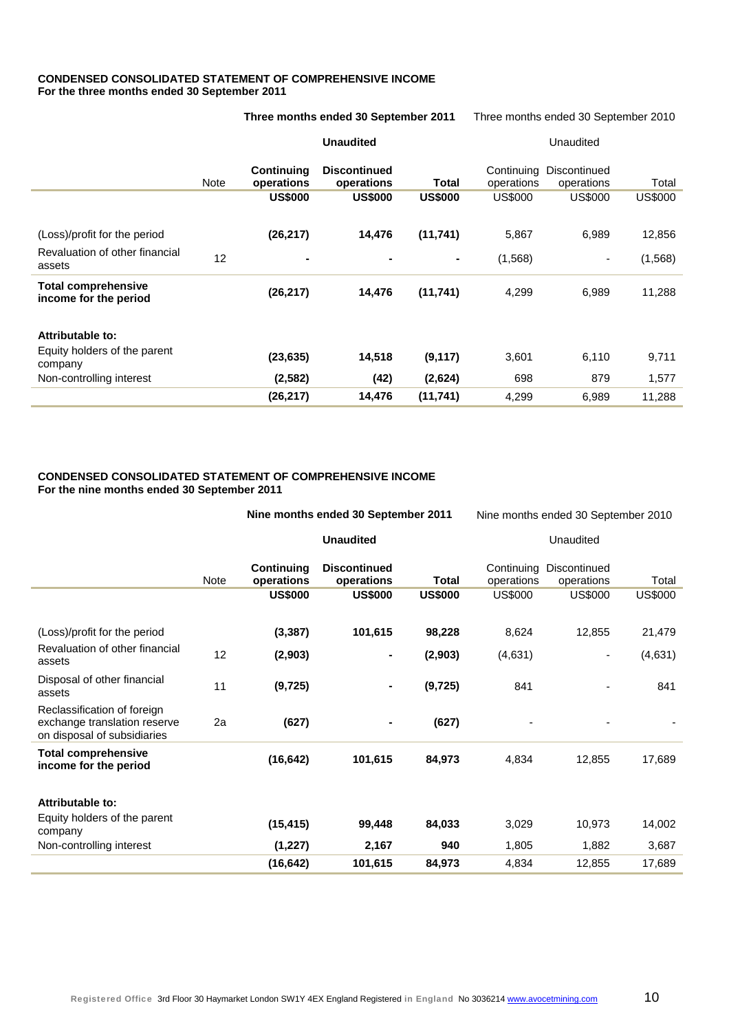#### **CONDENSED CONSOLIDATED STATEMENT OF COMPREHENSIVE INCOME For the three months ended 30 September 2011**

|                                                     |             | Three months ended 30 September 2011 |                                   |                | Three months ended 30 September 2010 |                            |                |  |
|-----------------------------------------------------|-------------|--------------------------------------|-----------------------------------|----------------|--------------------------------------|----------------------------|----------------|--|
|                                                     |             |                                      | <b>Unaudited</b>                  |                |                                      | Unaudited                  |                |  |
|                                                     | <b>Note</b> | <b>Continuing</b><br>operations      | <b>Discontinued</b><br>operations | Total          | Continuing<br>operations             | Discontinued<br>operations | Total          |  |
|                                                     |             | <b>US\$000</b>                       | <b>US\$000</b>                    | <b>US\$000</b> | <b>US\$000</b>                       | US\$000                    | <b>US\$000</b> |  |
|                                                     |             |                                      |                                   |                |                                      |                            |                |  |
| (Loss)/profit for the period                        |             | (26, 217)                            | 14,476                            | (11,741)       | 5,867                                | 6,989                      | 12,856         |  |
| Revaluation of other financial<br>assets            | 12          | $\blacksquare$                       |                                   | ۰              | (1, 568)                             | ٠                          | (1,568)        |  |
| <b>Total comprehensive</b><br>income for the period |             | (26, 217)                            | 14,476                            | (11,741)       | 4,299                                | 6,989                      | 11,288         |  |
| <b>Attributable to:</b>                             |             |                                      |                                   |                |                                      |                            |                |  |
| Equity holders of the parent<br>company             |             | (23, 635)                            | 14,518                            | (9, 117)       | 3,601                                | 6,110                      | 9,711          |  |
| Non-controlling interest                            |             | (2, 582)                             | (42)                              | (2,624)        | 698                                  | 879                        | 1,577          |  |
|                                                     |             | (26, 217)                            | 14,476                            | (11, 741)      | 4,299                                | 6,989                      | 11,288         |  |

#### **CONDENSED CONSOLIDATED STATEMENT OF COMPREHENSIVE INCOME For the nine months ended 30 September 2011**

 **Nine months ended 30 September 2011 Unaudited**  Nine months ended 30 September 2010 Unaudited Note **Continuing operations Discontinued operations Total**  Continuing Discontinued operations operations Total **US\$000 US\$000 US\$000** US\$000 US\$000 US\$000 (Loss)/profit for the period **(3,387) 101,615 98,228** 8,624 12,855 21,479 Revaluation of other financial assets 12 **(2,903) - (2,903)** (4,631) - (4,631) Disposal of other financial assets 11 **(9,725) - (9,725)** 841 - 841 Reclassification of foreign exchange translation reserve on disposal of subsidiaries 2a **(627) - (627)** - - - **Total comprehensive income for the period (16,642) 101,615 84,973** 4,834 12,855 17,689 **income for the period Attributable to:**  Equity holders of the parent company **(15,415) 99,448 84,033** 3,029 10,973 14,002 Non-controlling interest **(1,227) 2,167 940** 1,805 1,882 3,687 **(16,642) 101,615 84,973** 4,834 12,855 17,689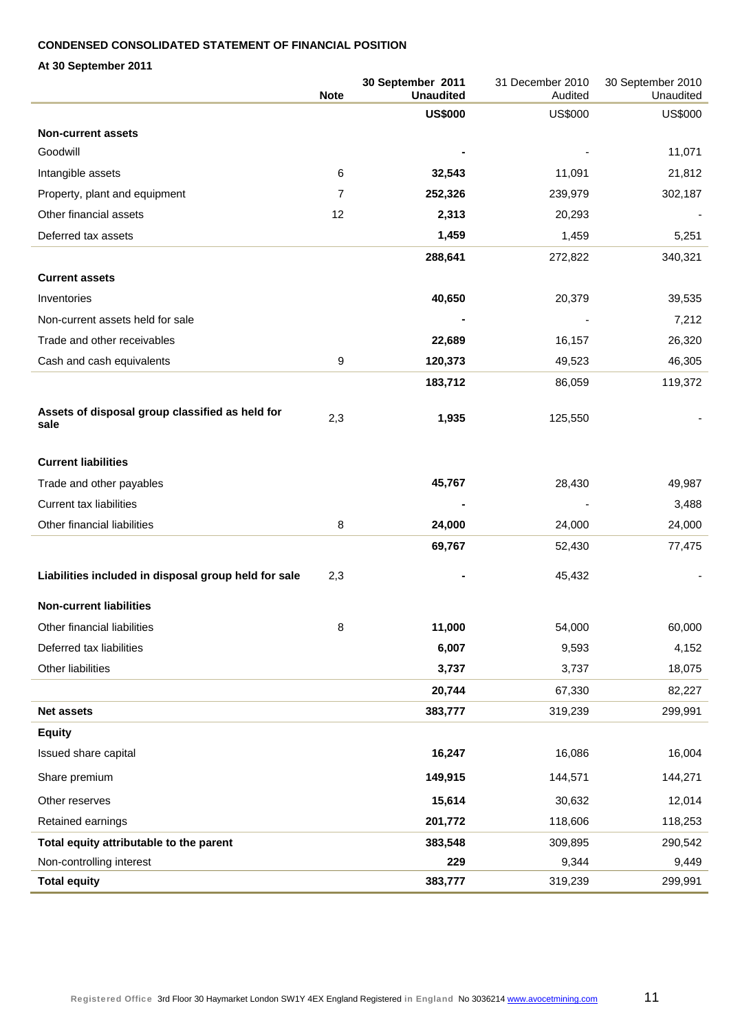#### **CONDENSED CONSOLIDATED STATEMENT OF FINANCIAL POSITION**

**At 30 September 2011** 

|                                                         | <b>Note</b> | 30 September 2011<br><b>Unaudited</b> | 31 December 2010<br>Audited | 30 September 2010<br>Unaudited |
|---------------------------------------------------------|-------------|---------------------------------------|-----------------------------|--------------------------------|
|                                                         |             | <b>US\$000</b>                        | <b>US\$000</b>              | <b>US\$000</b>                 |
| <b>Non-current assets</b>                               |             |                                       |                             |                                |
| Goodwill                                                |             |                                       |                             | 11,071                         |
| Intangible assets                                       | 6           | 32,543                                | 11,091                      | 21,812                         |
| Property, plant and equipment                           | 7           | 252,326                               | 239,979                     | 302,187                        |
| Other financial assets                                  | 12          | 2,313                                 | 20,293                      |                                |
| Deferred tax assets                                     |             | 1,459                                 | 1,459                       | 5,251                          |
|                                                         |             | 288,641                               | 272,822                     | 340,321                        |
| <b>Current assets</b>                                   |             |                                       |                             |                                |
| Inventories                                             |             | 40,650                                | 20,379                      | 39,535                         |
| Non-current assets held for sale                        |             |                                       |                             | 7,212                          |
| Trade and other receivables                             |             | 22,689                                | 16,157                      | 26,320                         |
| Cash and cash equivalents                               | 9           | 120,373                               | 49,523                      | 46,305                         |
|                                                         |             | 183,712                               | 86,059                      | 119,372                        |
| Assets of disposal group classified as held for<br>sale | 2,3         | 1,935                                 | 125,550                     |                                |
|                                                         |             |                                       |                             |                                |
| <b>Current liabilities</b>                              |             |                                       |                             |                                |
| Trade and other payables                                |             | 45,767                                | 28,430                      | 49,987                         |
| <b>Current tax liabilities</b>                          |             |                                       |                             | 3,488                          |
| Other financial liabilities                             | 8           | 24,000                                | 24,000                      | 24,000                         |
|                                                         |             | 69,767                                | 52,430                      | 77,475                         |
| Liabilities included in disposal group held for sale    | 2,3         |                                       | 45,432                      |                                |
| <b>Non-current liabilities</b>                          |             |                                       |                             |                                |
| Other financial liabilities                             | 8           | 11,000                                | 54,000                      | 60,000                         |
| Deferred tax liabilities                                |             | 6,007                                 | 9,593                       | 4,152                          |
| Other liabilities                                       |             | 3,737                                 | 3,737                       | 18,075                         |
|                                                         |             | 20,744                                | 67,330                      | 82,227                         |
| <b>Net assets</b>                                       |             | 383,777                               | 319,239                     | 299,991                        |
| <b>Equity</b>                                           |             |                                       |                             |                                |
| Issued share capital                                    |             | 16,247                                | 16,086                      | 16,004                         |
| Share premium                                           |             | 149,915                               | 144,571                     | 144,271                        |
| Other reserves                                          |             | 15,614                                | 30,632                      | 12,014                         |
| Retained earnings                                       |             | 201,772                               | 118,606                     | 118,253                        |
| Total equity attributable to the parent                 |             | 383,548                               | 309,895                     | 290,542                        |
| Non-controlling interest                                |             | 229                                   | 9,344                       | 9,449                          |
| <b>Total equity</b>                                     |             | 383,777                               | 319,239                     | 299,991                        |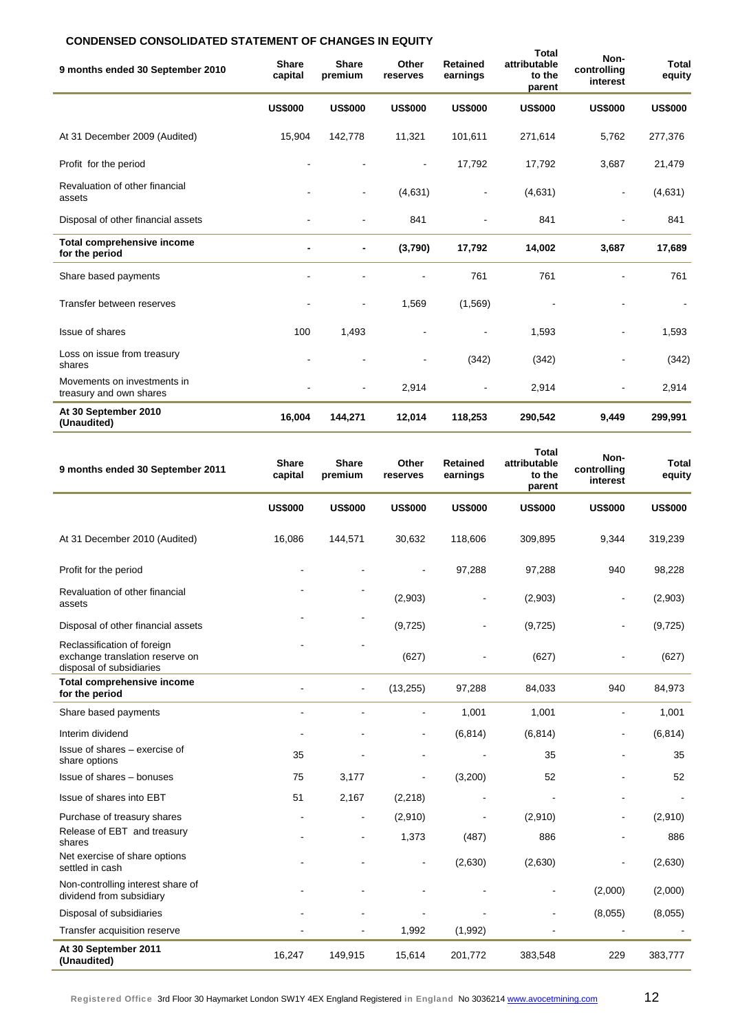### **CONDENSED CONSOLIDATED STATEMENT OF CHANGES IN EQUITY**

| 9 months ended 30 September 2010                       | Share<br>capital | <b>Share</b><br>premium | Other<br>reserves | <b>Retained</b><br>earnings | Total<br>attributable<br>to the<br>parent | Non-<br>controlling<br>interest | <b>Total</b><br>equity |
|--------------------------------------------------------|------------------|-------------------------|-------------------|-----------------------------|-------------------------------------------|---------------------------------|------------------------|
|                                                        | <b>US\$000</b>   | <b>US\$000</b>          | <b>US\$000</b>    | <b>US\$000</b>              | <b>US\$000</b>                            | <b>US\$000</b>                  | <b>US\$000</b>         |
| At 31 December 2009 (Audited)                          | 15,904           | 142,778                 | 11,321            | 101,611                     | 271,614                                   | 5,762                           | 277,376                |
| Profit for the period                                  |                  |                         | $\blacksquare$    | 17,792                      | 17,792                                    | 3,687                           | 21,479                 |
| Revaluation of other financial<br>assets               |                  | ۰                       | (4,631)           |                             | (4,631)                                   | $\overline{\phantom{a}}$        | (4,631)                |
| Disposal of other financial assets                     |                  |                         | 841               |                             | 841                                       |                                 | 841                    |
| <b>Total comprehensive income</b><br>for the period    |                  | $\blacksquare$          | (3,790)           | 17,792                      | 14,002                                    | 3,687                           | 17,689                 |
| Share based payments                                   |                  |                         |                   | 761                         | 761                                       |                                 | 761                    |
| Transfer between reserves                              |                  |                         | 1,569             | (1, 569)                    |                                           |                                 |                        |
| Issue of shares                                        | 100              | 1,493                   |                   |                             | 1,593                                     |                                 | 1,593                  |
| Loss on issue from treasury<br>shares                  |                  |                         |                   | (342)                       | (342)                                     |                                 | (342)                  |
| Movements on investments in<br>treasury and own shares |                  | $\blacksquare$          | 2,914             |                             | 2,914                                     |                                 | 2,914                  |
| At 30 September 2010<br>(Unaudited)                    | 16,004           | 144,271                 | 12,014            | 118,253                     | 290,542                                   | 9,449                           | 299,991                |

| 9 months ended 30 September 2011                                                           | <b>Share</b><br>capital | <b>Share</b><br>premium | Other<br>reserves | <b>Retained</b><br>earnings | Total<br>attributable<br>to the<br>parent | Non-<br>controlling<br>interest | Total<br>equity |
|--------------------------------------------------------------------------------------------|-------------------------|-------------------------|-------------------|-----------------------------|-------------------------------------------|---------------------------------|-----------------|
|                                                                                            | <b>US\$000</b>          | <b>US\$000</b>          | <b>US\$000</b>    | <b>US\$000</b>              | <b>US\$000</b>                            | <b>US\$000</b>                  | <b>US\$000</b>  |
| At 31 December 2010 (Audited)                                                              | 16,086                  | 144,571                 | 30,632            | 118,606                     | 309,895                                   | 9,344                           | 319,239         |
| Profit for the period                                                                      |                         |                         |                   | 97,288                      | 97,288                                    | 940                             | 98,228          |
| Revaluation of other financial<br>assets                                                   |                         |                         | (2,903)           | ÷                           | (2,903)                                   |                                 | (2,903)         |
| Disposal of other financial assets                                                         |                         |                         | (9, 725)          |                             | (9,725)                                   |                                 | (9, 725)        |
| Reclassification of foreign<br>exchange translation reserve on<br>disposal of subsidiaries |                         |                         | (627)             |                             | (627)                                     |                                 | (627)           |
| <b>Total comprehensive income</b><br>for the period                                        |                         | $\blacksquare$          | (13, 255)         | 97,288                      | 84,033                                    | 940                             | 84,973          |
| Share based payments                                                                       |                         |                         | $\overline{a}$    | 1,001                       | 1,001                                     | $\blacksquare$                  | 1,001           |
| Interim dividend                                                                           |                         |                         |                   | (6, 814)                    | (6, 814)                                  |                                 | (6, 814)        |
| Issue of shares - exercise of<br>share options                                             | 35                      |                         |                   |                             | 35                                        |                                 | 35              |
| Issue of shares - bonuses                                                                  | 75                      | 3,177                   | ä,                | (3,200)                     | 52                                        |                                 | 52              |
| Issue of shares into EBT                                                                   | 51                      | 2,167                   | (2, 218)          |                             |                                           |                                 |                 |
| Purchase of treasury shares                                                                |                         |                         | (2,910)           |                             | (2,910)                                   |                                 | (2,910)         |
| Release of EBT and treasury<br>shares                                                      |                         |                         | 1,373             | (487)                       | 886                                       |                                 | 886             |
| Net exercise of share options<br>settled in cash                                           |                         |                         |                   | (2,630)                     | (2,630)                                   |                                 | (2,630)         |
| Non-controlling interest share of<br>dividend from subsidiary                              |                         |                         |                   |                             |                                           | (2,000)                         | (2,000)         |
| Disposal of subsidiaries                                                                   |                         |                         |                   |                             |                                           | (8,055)                         | (8,055)         |
| Transfer acquisition reserve                                                               |                         |                         | 1,992             | (1,992)                     |                                           |                                 |                 |
| At 30 September 2011<br>(Unaudited)                                                        | 16,247                  | 149,915                 | 15,614            | 201,772                     | 383,548                                   | 229                             | 383,777         |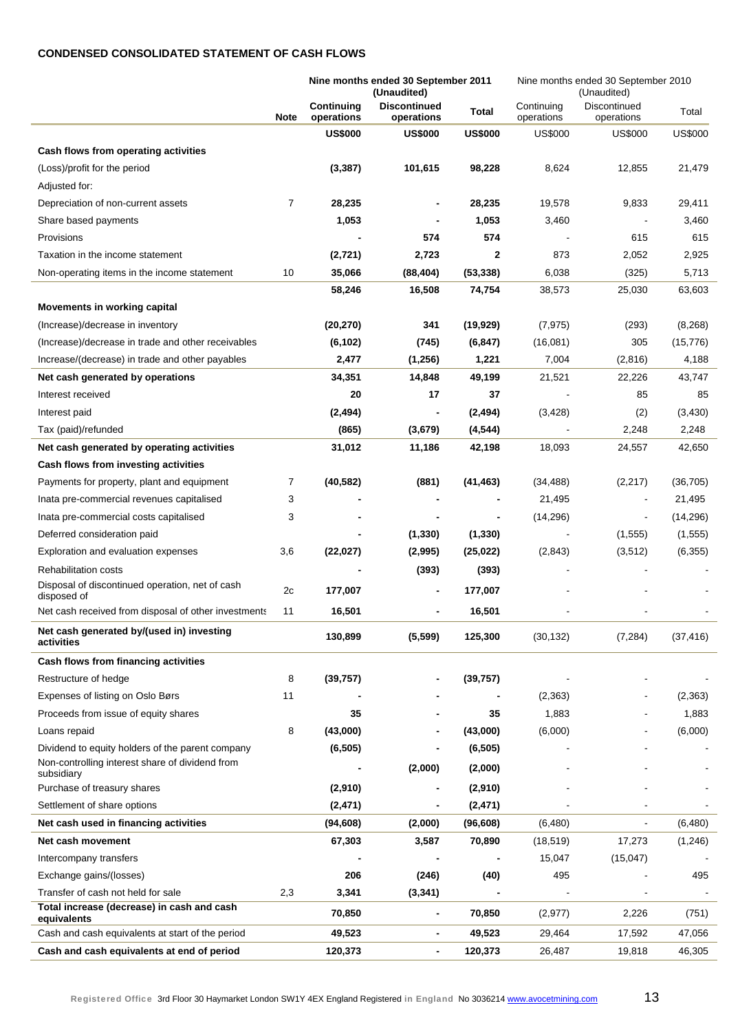#### **CONDENSED CONSOLIDATED STATEMENT OF CASH FLOWS**

|                                                                |                |                          | Nine months ended 30 September 2011<br>(Unaudited) |                | Nine months ended 30 September 2010 |                            |                |
|----------------------------------------------------------------|----------------|--------------------------|----------------------------------------------------|----------------|-------------------------------------|----------------------------|----------------|
|                                                                | <b>Note</b>    | Continuing<br>operations | <b>Discontinued</b><br>operations                  | <b>Total</b>   | Continuina<br>operations            | Discontinued<br>operations | Total          |
|                                                                |                | <b>US\$000</b>           | <b>US\$000</b>                                     | <b>US\$000</b> | <b>US\$000</b>                      | <b>US\$000</b>             | <b>US\$000</b> |
| Cash flows from operating activities                           |                |                          |                                                    |                |                                     |                            |                |
| (Loss)/profit for the period                                   |                | (3, 387)                 | 101,615                                            | 98,228         | 8,624                               | 12,855                     | 21,479         |
| Adjusted for:                                                  |                |                          |                                                    |                |                                     |                            |                |
| Depreciation of non-current assets                             | $\overline{7}$ | 28,235                   |                                                    | 28,235         | 19,578                              | 9,833                      | 29,411         |
| Share based payments                                           |                | 1,053                    |                                                    | 1,053          | 3,460                               |                            | 3,460          |
| Provisions                                                     |                |                          | 574                                                | 574            |                                     | 615                        | 615            |
| Taxation in the income statement                               |                | (2,721)                  | 2,723                                              | 2              | 873                                 | 2,052                      | 2,925          |
| Non-operating items in the income statement                    | 10             | 35,066                   | (88, 404)                                          | (53, 338)      | 6,038                               | (325)                      | 5,713          |
|                                                                |                | 58,246                   | 16,508                                             | 74,754         | 38,573                              | 25,030                     | 63,603         |
| Movements in working capital                                   |                |                          |                                                    |                |                                     |                            |                |
| (Increase)/decrease in inventory                               |                | (20, 270)                | 341                                                | (19, 929)      | (7, 975)                            | (293)                      | (8, 268)       |
| (Increase)/decrease in trade and other receivables             |                | (6, 102)                 | (745)                                              | (6, 847)       | (16,081)                            | 305                        | (15, 776)      |
| Increase/(decrease) in trade and other payables                |                | 2,477                    | (1,256)                                            | 1,221          | 7,004                               | (2,816)                    | 4,188          |
| Net cash generated by operations                               |                | 34,351                   | 14,848                                             | 49,199         | 21,521                              | 22,226                     | 43,747         |
| Interest received                                              |                | 20                       | 17                                                 | 37             |                                     | 85                         | 85             |
| Interest paid                                                  |                | (2, 494)                 | $\overline{\phantom{a}}$                           | (2, 494)       | (3, 428)                            | (2)                        | (3, 430)       |
| Tax (paid)/refunded                                            |                | (865)                    | (3,679)                                            | (4, 544)       |                                     | 2,248                      | 2,248          |
| Net cash generated by operating activities                     |                | 31,012                   | 11,186                                             | 42,198         | 18,093                              | 24,557                     | 42,650         |
| Cash flows from investing activities                           |                |                          |                                                    |                |                                     |                            |                |
| Payments for property, plant and equipment                     | 7              | (40, 582)                | (881)                                              | (41, 463)      | (34, 488)                           | (2, 217)                   | (36, 705)      |
| Inata pre-commercial revenues capitalised                      | 3              |                          |                                                    |                | 21,495                              |                            | 21,495         |
| Inata pre-commercial costs capitalised                         | 3              |                          |                                                    |                | (14, 296)                           |                            | (14, 296)      |
| Deferred consideration paid                                    |                |                          | (1, 330)                                           | (1, 330)       |                                     | (1, 555)                   | (1, 555)       |
| Exploration and evaluation expenses                            | 3,6            | (22, 027)                | (2,995)                                            | (25, 022)      | (2,843)                             | (3, 512)                   | (6, 355)       |
| <b>Rehabilitation costs</b>                                    |                |                          | (393)                                              | (393)          |                                     |                            |                |
| Disposal of discontinued operation, net of cash<br>disposed of | 2c             | 177,007                  | $\blacksquare$                                     | 177,007        |                                     |                            |                |
| Net cash received from disposal of other investments           | 11             | 16,501                   |                                                    | 16,501         |                                     |                            |                |
| Net cash generated by/(used in) investing<br>activities        |                | 130,899                  | (5, 599)                                           | 125,300        | (30, 132)                           | (7, 284)                   | (37, 416)      |
| Cash flows from financing activities                           |                |                          |                                                    |                |                                     |                            |                |
| Restructure of hedge                                           | 8              | (39, 757)                |                                                    | (39, 757)      |                                     |                            |                |
| Expenses of listing on Oslo Børs                               | 11             |                          |                                                    |                | (2, 363)                            |                            | (2, 363)       |
| Proceeds from issue of equity shares                           |                | 35                       |                                                    | 35             | 1,883                               |                            | 1,883          |
| Loans repaid                                                   | 8              | (43,000)                 |                                                    | (43,000)       | (6,000)                             |                            | (6,000)        |
| Dividend to equity holders of the parent company               |                | (6, 505)                 |                                                    | (6, 505)       |                                     |                            |                |
| Non-controlling interest share of dividend from<br>subsidiary  |                |                          | (2,000)                                            | (2,000)        |                                     |                            |                |
| Purchase of treasury shares                                    |                | (2,910)                  | -                                                  | (2,910)        |                                     |                            |                |
| Settlement of share options                                    |                | (2, 471)                 |                                                    | (2, 471)       |                                     |                            |                |
| Net cash used in financing activities                          |                | (94, 608)                | (2,000)                                            | (96, 608)      | (6,480)                             |                            | (6,480)        |
| Net cash movement                                              |                | 67,303                   | 3,587                                              | 70,890         | (18, 519)                           | 17,273                     | (1, 246)       |
| Intercompany transfers                                         |                |                          |                                                    |                | 15,047                              | (15,047)                   |                |
| Exchange gains/(losses)                                        |                | 206                      | (246)                                              | (40)           | 495                                 |                            | 495            |
| Transfer of cash not held for sale                             | 2,3            | 3,341                    | (3, 341)                                           |                |                                     |                            |                |
| Total increase (decrease) in cash and cash<br>equivalents      |                | 70,850                   | $\overline{\phantom{a}}$                           | 70,850         | (2, 977)                            | 2,226                      | (751)          |
| Cash and cash equivalents at start of the period               |                | 49,523                   | $\blacksquare$                                     | 49,523         | 29,464                              | 17,592                     | 47,056         |
| Cash and cash equivalents at end of period                     |                | 120,373                  | $\blacksquare$                                     | 120,373        | 26,487                              | 19,818                     | 46,305         |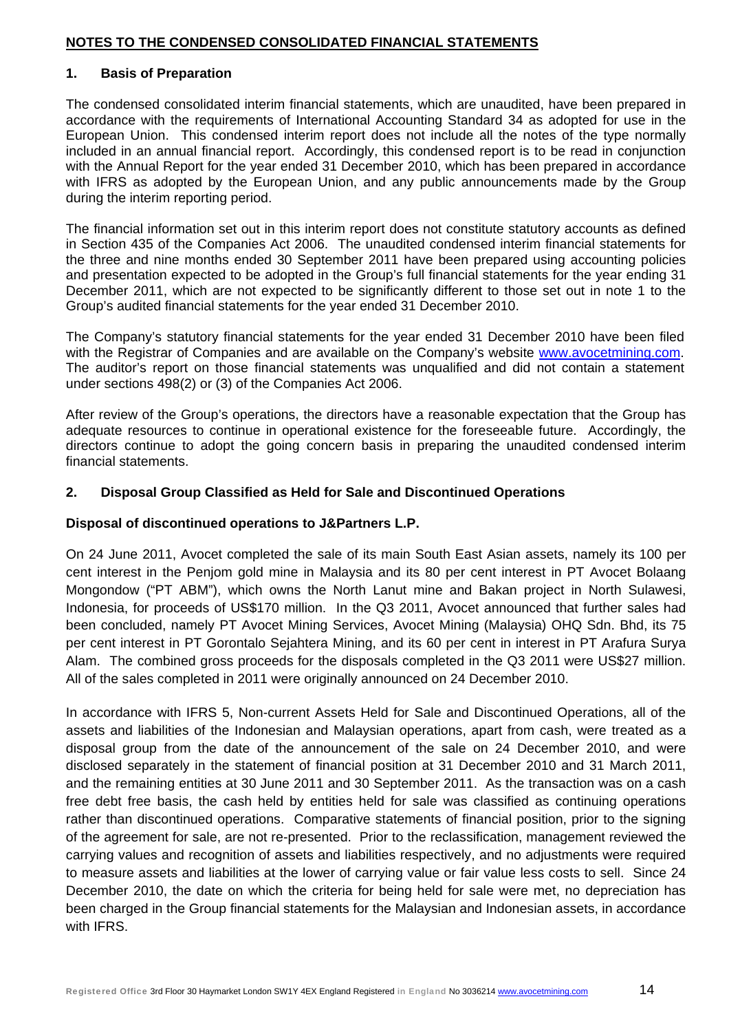#### **NOTES TO THE CONDENSED CONSOLIDATED FINANCIAL STATEMENTS**

#### **1. Basis of Preparation**

The condensed consolidated interim financial statements, which are unaudited, have been prepared in accordance with the requirements of International Accounting Standard 34 as adopted for use in the European Union. This condensed interim report does not include all the notes of the type normally included in an annual financial report. Accordingly, this condensed report is to be read in conjunction with the Annual Report for the year ended 31 December 2010, which has been prepared in accordance with IFRS as adopted by the European Union, and any public announcements made by the Group during the interim reporting period.

The financial information set out in this interim report does not constitute statutory accounts as defined in Section 435 of the Companies Act 2006. The unaudited condensed interim financial statements for the three and nine months ended 30 September 2011 have been prepared using accounting policies and presentation expected to be adopted in the Group's full financial statements for the year ending 31 December 2011, which are not expected to be significantly different to those set out in note 1 to the Group's audited financial statements for the year ended 31 December 2010.

The Company's statutory financial statements for the year ended 31 December 2010 have been filed with the Registrar of Companies and are available on the Company's website www.avocetmining.com. The auditor's report on those financial statements was unqualified and did not contain a statement under sections 498(2) or (3) of the Companies Act 2006.

After review of the Group's operations, the directors have a reasonable expectation that the Group has adequate resources to continue in operational existence for the foreseeable future. Accordingly, the directors continue to adopt the going concern basis in preparing the unaudited condensed interim financial statements.

#### **2. Disposal Group Classified as Held for Sale and Discontinued Operations**

#### **Disposal of discontinued operations to J&Partners L.P.**

On 24 June 2011, Avocet completed the sale of its main South East Asian assets, namely its 100 per cent interest in the Penjom gold mine in Malaysia and its 80 per cent interest in PT Avocet Bolaang Mongondow ("PT ABM"), which owns the North Lanut mine and Bakan project in North Sulawesi, Indonesia, for proceeds of US\$170 million. In the Q3 2011, Avocet announced that further sales had been concluded, namely PT Avocet Mining Services, Avocet Mining (Malaysia) OHQ Sdn. Bhd, its 75 per cent interest in PT Gorontalo Sejahtera Mining, and its 60 per cent in interest in PT Arafura Surya Alam. The combined gross proceeds for the disposals completed in the Q3 2011 were US\$27 million. All of the sales completed in 2011 were originally announced on 24 December 2010.

In accordance with IFRS 5, Non-current Assets Held for Sale and Discontinued Operations, all of the assets and liabilities of the Indonesian and Malaysian operations, apart from cash, were treated as a disposal group from the date of the announcement of the sale on 24 December 2010, and were disclosed separately in the statement of financial position at 31 December 2010 and 31 March 2011, and the remaining entities at 30 June 2011 and 30 September 2011. As the transaction was on a cash free debt free basis, the cash held by entities held for sale was classified as continuing operations rather than discontinued operations. Comparative statements of financial position, prior to the signing of the agreement for sale, are not re-presented. Prior to the reclassification, management reviewed the carrying values and recognition of assets and liabilities respectively, and no adjustments were required to measure assets and liabilities at the lower of carrying value or fair value less costs to sell. Since 24 December 2010, the date on which the criteria for being held for sale were met, no depreciation has been charged in the Group financial statements for the Malaysian and Indonesian assets, in accordance with IFRS.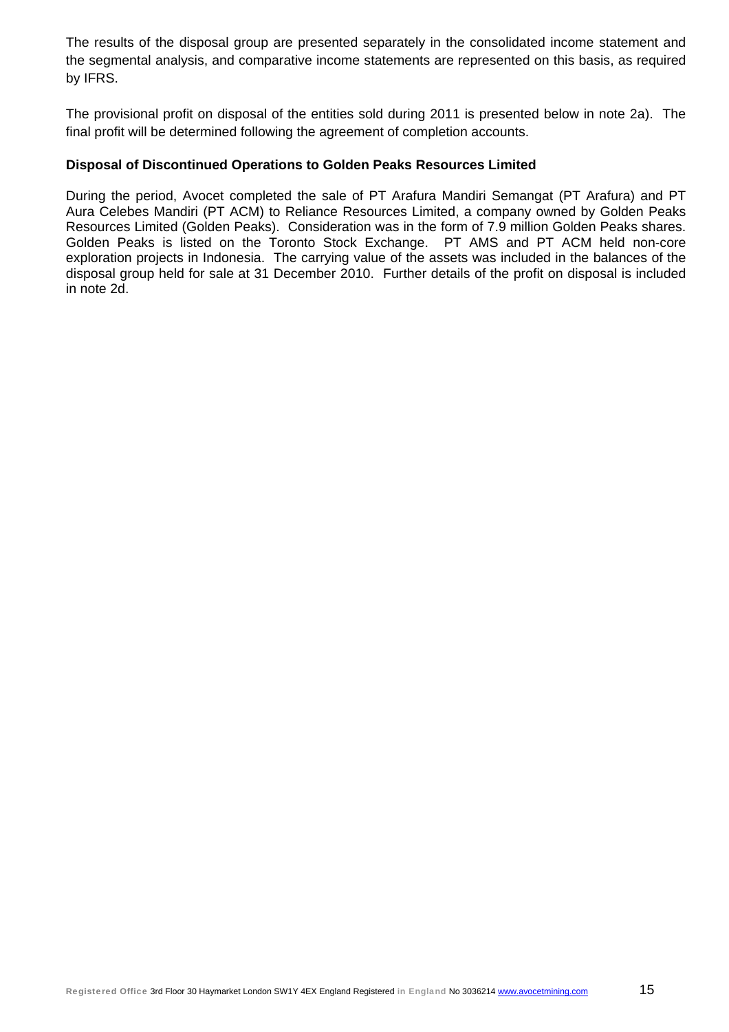The results of the disposal group are presented separately in the consolidated income statement and the segmental analysis, and comparative income statements are represented on this basis, as required by IFRS.

The provisional profit on disposal of the entities sold during 2011 is presented below in note 2a). The final profit will be determined following the agreement of completion accounts.

### **Disposal of Discontinued Operations to Golden Peaks Resources Limited**

During the period, Avocet completed the sale of PT Arafura Mandiri Semangat (PT Arafura) and PT Aura Celebes Mandiri (PT ACM) to Reliance Resources Limited, a company owned by Golden Peaks Resources Limited (Golden Peaks). Consideration was in the form of 7.9 million Golden Peaks shares. Golden Peaks is listed on the Toronto Stock Exchange. PT AMS and PT ACM held non-core exploration projects in Indonesia. The carrying value of the assets was included in the balances of the disposal group held for sale at 31 December 2010. Further details of the profit on disposal is included in note 2d.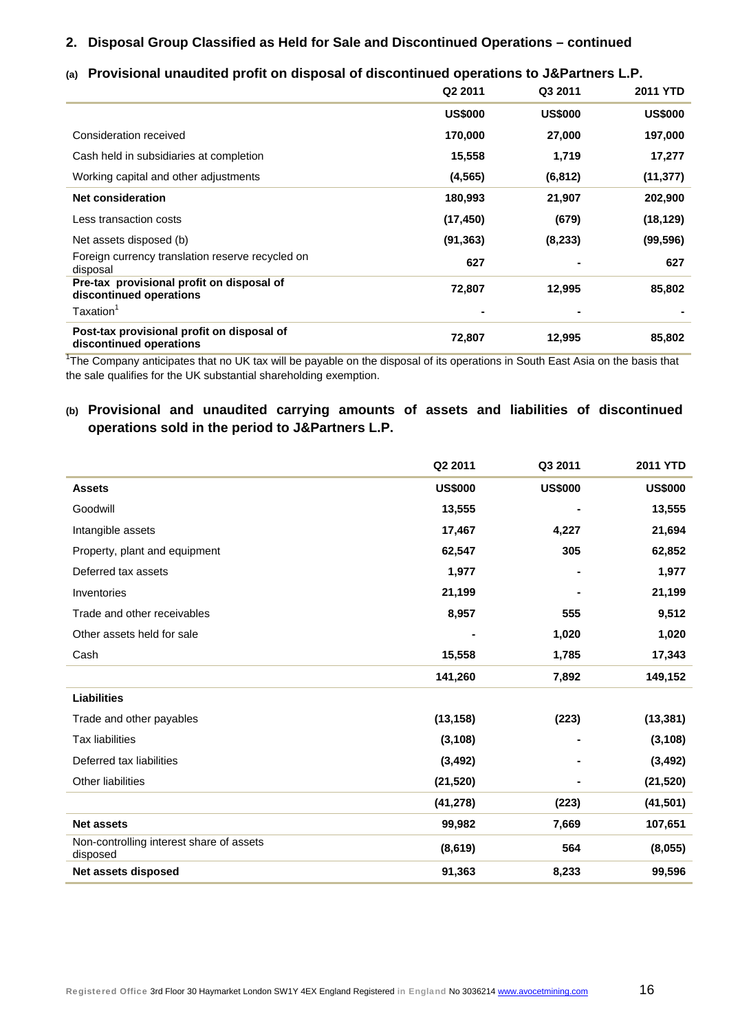#### **2. Disposal Group Classified as Held for Sale and Discontinued Operations – continued**

#### **(a) Provisional unaudited profit on disposal of discontinued operations to J&Partners L.P.**

|                                                                       | Q2 2011        | Q3 2011        | <b>2011 YTD</b> |
|-----------------------------------------------------------------------|----------------|----------------|-----------------|
|                                                                       | <b>US\$000</b> | <b>US\$000</b> | <b>US\$000</b>  |
| Consideration received                                                | 170,000        | 27,000         | 197,000         |
| Cash held in subsidiaries at completion                               | 15,558         | 1,719          | 17,277          |
| Working capital and other adjustments                                 | (4, 565)       | (6, 812)       | (11, 377)       |
| <b>Net consideration</b>                                              | 180,993        | 21,907         | 202,900         |
| Less transaction costs                                                | (17, 450)      | (679)          | (18, 129)       |
| Net assets disposed (b)                                               | (91, 363)      | (8, 233)       | (99, 596)       |
| Foreign currency translation reserve recycled on<br>disposal          | 627            |                | 627             |
| Pre-tax provisional profit on disposal of<br>discontinued operations  | 72,807         | 12,995         | 85,802          |
| Taxation <sup>1</sup>                                                 |                | $\blacksquare$ |                 |
| Post-tax provisional profit on disposal of<br>discontinued operations | 72,807         | 12,995         | 85,802          |

<sup>1</sup>The Company anticipates that no UK tax will be payable on the disposal of its operations in South East Asia on the basis that the sale qualifies for the UK substantial shareholding exemption.

### **(b) Provisional and unaudited carrying amounts of assets and liabilities of discontinued operations sold in the period to J&Partners L.P.**

|                                                      | Q2 2011        | Q3 2011        | <b>2011 YTD</b> |
|------------------------------------------------------|----------------|----------------|-----------------|
| <b>Assets</b>                                        | <b>US\$000</b> | <b>US\$000</b> | <b>US\$000</b>  |
| Goodwill                                             | 13,555         |                | 13,555          |
| Intangible assets                                    | 17,467         | 4,227          | 21,694          |
| Property, plant and equipment                        | 62,547         | 305            | 62,852          |
| Deferred tax assets                                  | 1,977          |                | 1,977           |
| Inventories                                          | 21,199         |                | 21,199          |
| Trade and other receivables                          | 8,957          | 555            | 9,512           |
| Other assets held for sale                           |                | 1,020          | 1,020           |
| Cash                                                 | 15,558         | 1,785          | 17,343          |
|                                                      | 141,260        | 7,892          | 149,152         |
| <b>Liabilities</b>                                   |                |                |                 |
| Trade and other payables                             | (13, 158)      | (223)          | (13, 381)       |
| <b>Tax liabilities</b>                               | (3, 108)       |                | (3, 108)        |
| Deferred tax liabilities                             | (3, 492)       |                | (3, 492)        |
| <b>Other liabilities</b>                             | (21, 520)      |                | (21, 520)       |
|                                                      | (41, 278)      | (223)          | (41, 501)       |
| <b>Net assets</b>                                    | 99,982         | 7,669          | 107,651         |
| Non-controlling interest share of assets<br>disposed | (8,619)        | 564            | (8,055)         |
| Net assets disposed                                  | 91,363         | 8,233          | 99,596          |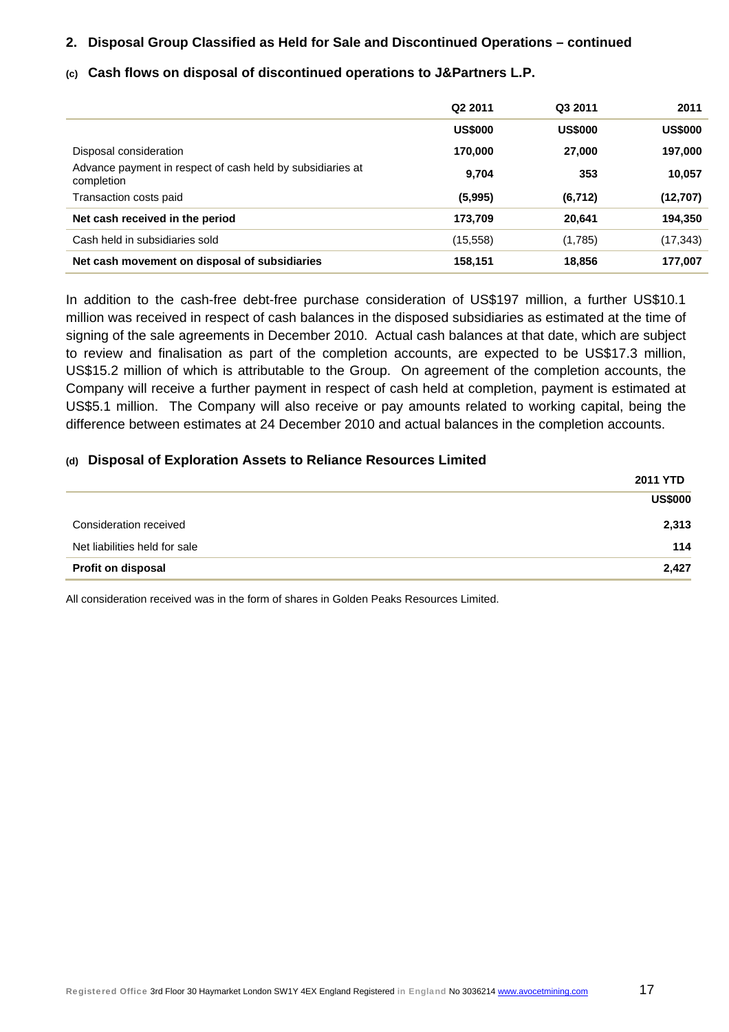### **2. Disposal Group Classified as Held for Sale and Discontinued Operations – continued**

#### **(c) Cash flows on disposal of discontinued operations to J&Partners L.P.**

|                                                                          | Q <sub>2</sub> 2011 | Q3 2011        | 2011           |
|--------------------------------------------------------------------------|---------------------|----------------|----------------|
|                                                                          | <b>US\$000</b>      | <b>US\$000</b> | <b>US\$000</b> |
| Disposal consideration                                                   | 170,000             | 27,000         | 197,000        |
| Advance payment in respect of cash held by subsidiaries at<br>completion | 9,704               | 353            | 10,057         |
| Transaction costs paid                                                   | (5,995)             | (6, 712)       | (12,707)       |
| Net cash received in the period                                          | 173,709             | 20,641         | 194,350        |
|                                                                          |                     |                |                |
| Cash held in subsidiaries sold                                           | (15, 558)           | (1,785)        | (17, 343)      |

In addition to the cash-free debt-free purchase consideration of US\$197 million, a further US\$10.1 million was received in respect of cash balances in the disposed subsidiaries as estimated at the time of signing of the sale agreements in December 2010. Actual cash balances at that date, which are subject to review and finalisation as part of the completion accounts, are expected to be US\$17.3 million, US\$15.2 million of which is attributable to the Group. On agreement of the completion accounts, the Company will receive a further payment in respect of cash held at completion, payment is estimated at US\$5.1 million. The Company will also receive or pay amounts related to working capital, being the difference between estimates at 24 December 2010 and actual balances in the completion accounts.

#### **(d) Disposal of Exploration Assets to Reliance Resources Limited**

|                               | <b>2011 YTD</b> |
|-------------------------------|-----------------|
|                               | <b>US\$000</b>  |
| Consideration received        | 2,313           |
| Net liabilities held for sale | 114             |
| <b>Profit on disposal</b>     | 2,427           |

All consideration received was in the form of shares in Golden Peaks Resources Limited.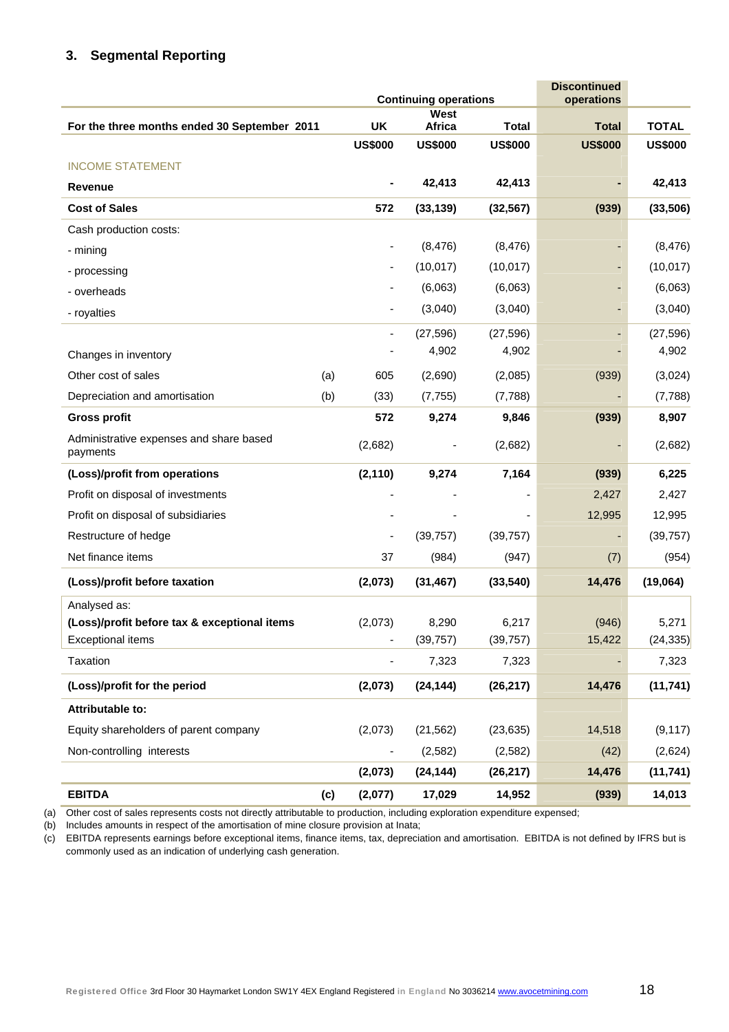# **3. Segmental Reporting**

|                                                     |     |                             | <b>Continuing operations</b> | <b>Discontinued</b><br>operations |                |                |
|-----------------------------------------------------|-----|-----------------------------|------------------------------|-----------------------------------|----------------|----------------|
|                                                     |     |                             | West                         |                                   | <b>Total</b>   | <b>TOTAL</b>   |
| For the three months ended 30 September 2011        |     | <b>UK</b><br><b>US\$000</b> | Africa<br><b>US\$000</b>     | <b>Total</b><br><b>US\$000</b>    | <b>US\$000</b> | <b>US\$000</b> |
| <b>INCOME STATEMENT</b>                             |     |                             |                              |                                   |                |                |
| <b>Revenue</b>                                      |     |                             | 42,413                       | 42,413                            |                | 42,413         |
| <b>Cost of Sales</b>                                |     | 572                         | (33, 139)                    | (32, 567)                         | (939)          | (33,506)       |
| Cash production costs:                              |     |                             |                              |                                   |                |                |
| - mining                                            |     |                             | (8, 476)                     | (8, 476)                          |                | (8, 476)       |
| - processing                                        |     |                             | (10, 017)                    | (10, 017)                         |                | (10, 017)      |
| - overheads                                         |     |                             | (6,063)                      | (6,063)                           |                | (6,063)        |
| - royalties                                         |     |                             | (3,040)                      | (3,040)                           |                | (3,040)        |
|                                                     |     | ۰                           | (27, 596)                    | (27, 596)                         |                | (27, 596)      |
| Changes in inventory                                |     |                             | 4,902                        | 4,902                             |                | 4,902          |
| Other cost of sales                                 | (a) | 605                         | (2,690)                      | (2,085)                           | (939)          | (3,024)        |
| Depreciation and amortisation                       | (b) | (33)                        | (7, 755)                     | (7,788)                           |                | (7,788)        |
| <b>Gross profit</b>                                 |     | 572                         | 9,274                        | 9,846                             | (939)          | 8,907          |
| Administrative expenses and share based<br>payments |     | (2,682)                     |                              | (2,682)                           |                | (2,682)        |
| (Loss)/profit from operations                       |     | (2, 110)                    | 9,274                        | 7,164                             | (939)          | 6,225          |
| Profit on disposal of investments                   |     |                             |                              |                                   | 2,427          | 2,427          |
| Profit on disposal of subsidiaries                  |     |                             |                              |                                   | 12,995         | 12,995         |
| Restructure of hedge                                |     |                             | (39, 757)                    | (39, 757)                         |                | (39, 757)      |
| Net finance items                                   |     | 37                          | (984)                        | (947)                             | (7)            | (954)          |
| (Loss)/profit before taxation                       |     | (2,073)                     | (31, 467)                    | (33, 540)                         | 14,476         | (19,064)       |
| Analysed as:                                        |     |                             |                              |                                   |                |                |
| (Loss)/profit before tax & exceptional items        |     | (2,073)                     | 8,290                        | 6,217                             | (946)          | 5,271          |
| <b>Exceptional items</b>                            |     |                             | (39, 757)                    | (39, 757)                         | 15,422         | (24, 335)      |
| Taxation                                            |     |                             | 7,323                        | 7,323                             |                | 7,323          |
| (Loss)/profit for the period                        |     | (2,073)                     | (24, 144)                    | (26, 217)                         | 14,476         | (11, 741)      |
| Attributable to:                                    |     |                             |                              |                                   |                |                |
| Equity shareholders of parent company               |     | (2,073)                     | (21, 562)                    | (23, 635)                         | 14,518         | (9, 117)       |
| Non-controlling interests                           |     |                             | (2,582)                      | (2, 582)                          | (42)           | (2,624)        |
|                                                     |     | (2,073)                     | (24, 144)                    | (26, 217)                         | 14,476         | (11, 741)      |
| <b>EBITDA</b>                                       | (c) | (2,077)                     | 17,029                       | 14,952                            | (939)          | 14,013         |

(a) Other cost of sales represents costs not directly attributable to production, including exploration expenditure expensed;

(b) Includes amounts in respect of the amortisation of mine closure provision at Inata;

(c) EBITDA represents earnings before exceptional items, finance items, tax, depreciation and amortisation. EBITDA is not defined by IFRS but is commonly used as an indication of underlying cash generation.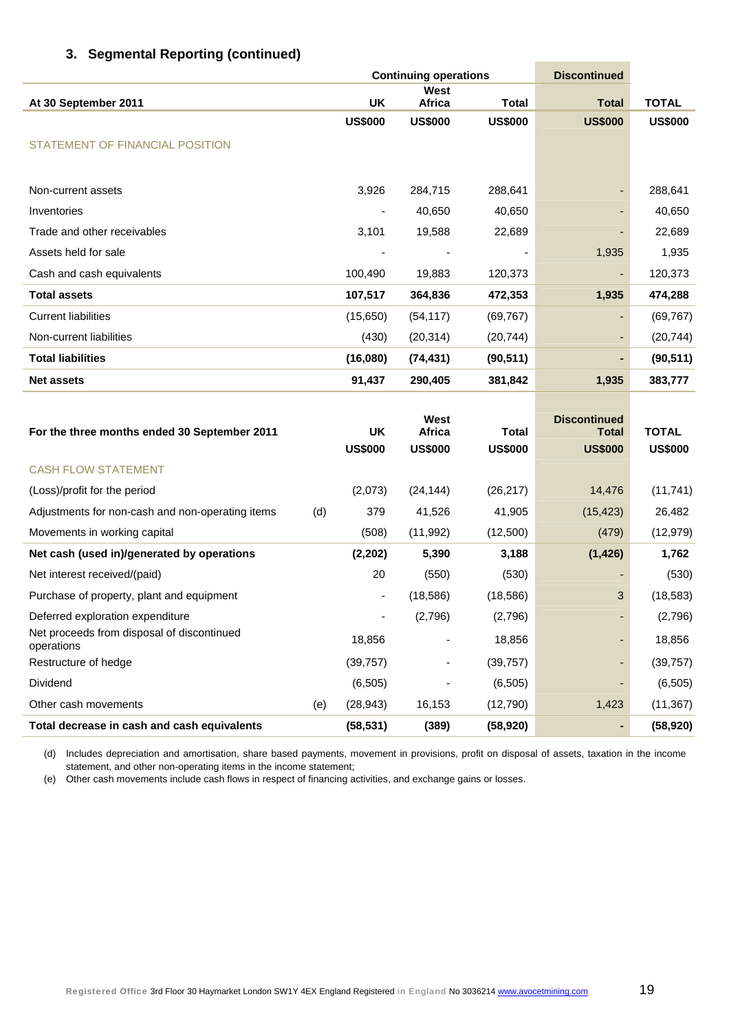|                                              |                | <b>Continuing operations</b><br><b>Discontinued</b> |                |                                     |                |
|----------------------------------------------|----------------|-----------------------------------------------------|----------------|-------------------------------------|----------------|
| At 30 September 2011                         | <b>UK</b>      | West<br><b>Africa</b>                               | <b>Total</b>   | <b>Total</b>                        | <b>TOTAL</b>   |
|                                              | <b>US\$000</b> | <b>US\$000</b>                                      | <b>US\$000</b> | <b>US\$000</b>                      | <b>US\$000</b> |
| STATEMENT OF FINANCIAL POSITION              |                |                                                     |                |                                     |                |
|                                              |                |                                                     |                |                                     |                |
| Non-current assets                           | 3,926          | 284,715                                             | 288,641        |                                     | 288,641        |
| Inventories                                  |                | 40,650                                              | 40,650         | $\overline{a}$                      | 40,650         |
| Trade and other receivables                  | 3,101          | 19,588                                              | 22,689         |                                     | 22,689         |
| Assets held for sale                         |                | ٠                                                   |                | 1,935                               | 1,935          |
| Cash and cash equivalents                    | 100,490        | 19,883                                              | 120,373        | ٠                                   | 120,373        |
| <b>Total assets</b>                          | 107,517        | 364,836                                             | 472,353        | 1,935                               | 474,288        |
| <b>Current liabilities</b>                   | (15,650)       | (54, 117)                                           | (69, 767)      | $\overline{\phantom{a}}$            | (69, 767)      |
| Non-current liabilities                      | (430)          | (20, 314)                                           | (20, 744)      | ٠                                   | (20, 744)      |
| <b>Total liabilities</b>                     | (16,080)       | (74, 431)                                           | (90, 511)      | ٠                                   | (90, 511)      |
| <b>Net assets</b>                            | 91,437         | 290,405                                             | 381,842        | 1,935                               | 383,777        |
|                                              |                |                                                     |                |                                     |                |
| For the three months ended 30 September 2011 | <b>UK</b>      | West<br><b>Africa</b>                               | <b>Total</b>   | <b>Discontinued</b><br><b>Total</b> | <b>TOTAL</b>   |
|                                              | <b>US\$000</b> | <b>US\$000</b>                                      | <b>US\$000</b> | <b>US\$000</b>                      | <b>US\$000</b> |
| <b>CASH FLOW STATEMENT</b>                   |                |                                                     |                |                                     |                |
| (Loss)/profit for the period                 | (2,073)        | (24, 144)                                           | (26, 217)      | 14,476                              | (11, 741)      |

| (Loss)/profit for the period                             |     | (2,073)   | (24, 144)                | (26, 217) | 14,476    | (11, 741) |
|----------------------------------------------------------|-----|-----------|--------------------------|-----------|-----------|-----------|
| Adjustments for non-cash and non-operating items         | (d) | 379       | 41,526                   | 41,905    | (15, 423) | 26,482    |
| Movements in working capital                             |     | (508)     | (11, 992)                | (12,500)  | (479)     | (12, 979) |
| Net cash (used in)/generated by operations               |     | (2,202)   | 5,390                    | 3,188     | (1, 426)  | 1,762     |
| Net interest received/(paid)                             |     | 20        | (550)                    | (530)     | -         | (530)     |
| Purchase of property, plant and equipment                |     | ۰.        | (18, 586)                | (18, 586) | 3         | (18, 583) |
| Deferred exploration expenditure                         |     |           | (2,796)                  | (2,796)   | ٠         | (2,796)   |
| Net proceeds from disposal of discontinued<br>operations |     | 18,856    |                          | 18,856    | ٠         | 18,856    |
| Restructure of hedge                                     |     | (39, 757) | $\overline{\phantom{a}}$ | (39,757)  | ٠         | (39, 757) |
| <b>Dividend</b>                                          |     | (6, 505)  |                          | (6, 505)  | ٠         | (6, 505)  |
| Other cash movements                                     | (e) | (28, 943) | 16,153                   | (12,790)  | 1,423     | (11, 367) |
| Total decrease in cash and cash equivalents              |     | (58, 531) | (389)                    | (58, 920) | ٠         | (58, 920) |

(d) Includes depreciation and amortisation, share based payments, movement in provisions, profit on disposal of assets, taxation in the income statement, and other non-operating items in the income statement;

(e) Other cash movements include cash flows in respect of financing activities, and exchange gains or losses.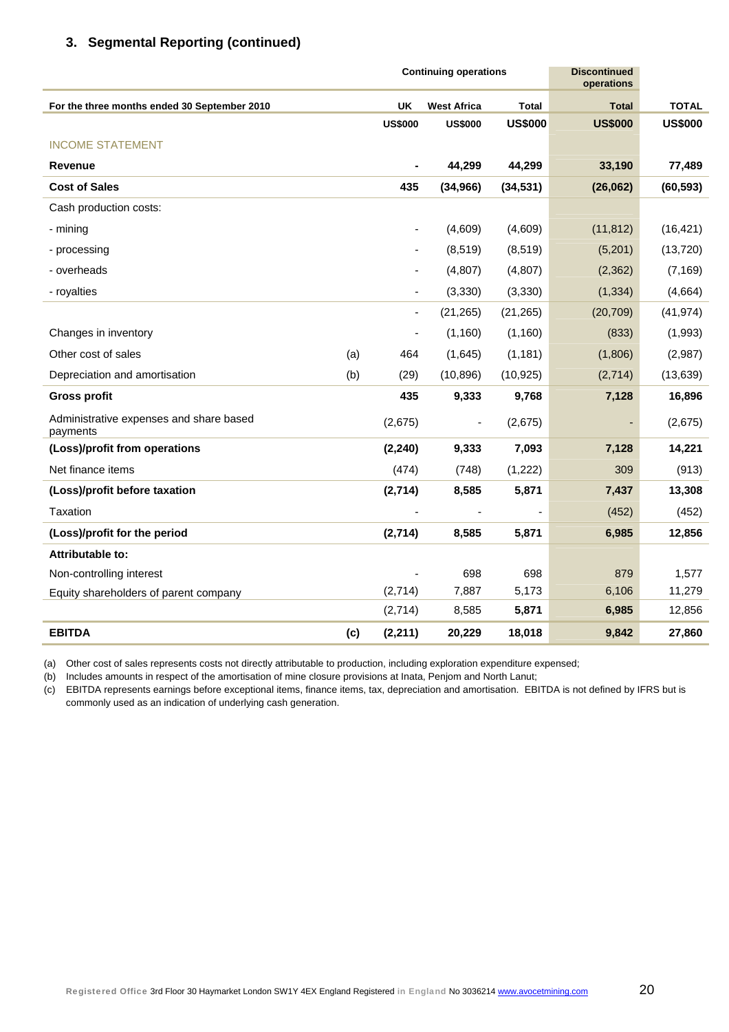|                                                     |     | <b>Continuing operations</b> | <b>Discontinued</b><br>operations |                |                |                |
|-----------------------------------------------------|-----|------------------------------|-----------------------------------|----------------|----------------|----------------|
| For the three months ended 30 September 2010        |     | <b>UK</b>                    | <b>West Africa</b>                | <b>Total</b>   | <b>Total</b>   | <b>TOTAL</b>   |
|                                                     |     | <b>US\$000</b>               | <b>US\$000</b>                    | <b>US\$000</b> | <b>US\$000</b> | <b>US\$000</b> |
| <b>INCOME STATEMENT</b>                             |     |                              |                                   |                |                |                |
| <b>Revenue</b>                                      |     |                              | 44,299                            | 44,299         | 33,190         | 77,489         |
| <b>Cost of Sales</b>                                |     | 435                          | (34, 966)                         | (34, 531)      | (26,062)       | (60, 593)      |
| Cash production costs:                              |     |                              |                                   |                |                |                |
| - mining                                            |     |                              | (4,609)                           | (4,609)        | (11, 812)      | (16, 421)      |
| - processing                                        |     |                              | (8,519)                           | (8, 519)       | (5,201)        | (13, 720)      |
| - overheads                                         |     |                              | (4,807)                           | (4,807)        | (2, 362)       | (7, 169)       |
| - royalties                                         |     |                              | (3, 330)                          | (3, 330)       | (1, 334)       | (4,664)        |
|                                                     |     | ÷,                           | (21, 265)                         | (21, 265)      | (20, 709)      | (41, 974)      |
| Changes in inventory                                |     | ÷,                           | (1, 160)                          | (1,160)        | (833)          | (1,993)        |
| Other cost of sales                                 | (a) | 464                          | (1,645)                           | (1, 181)       | (1,806)        | (2,987)        |
| Depreciation and amortisation                       | (b) | (29)                         | (10, 896)                         | (10, 925)      | (2,714)        | (13, 639)      |
| <b>Gross profit</b>                                 |     | 435                          | 9,333                             | 9,768          | 7,128          | 16,896         |
| Administrative expenses and share based<br>payments |     | (2,675)                      |                                   | (2,675)        | ٠              | (2,675)        |
| (Loss)/profit from operations                       |     | (2, 240)                     | 9,333                             | 7,093          | 7,128          | 14,221         |
| Net finance items                                   |     | (474)                        | (748)                             | (1,222)        | 309            | (913)          |
| (Loss)/profit before taxation                       |     | (2,714)                      | 8,585                             | 5,871          | 7,437          | 13,308         |
| Taxation                                            |     |                              |                                   |                | (452)          | (452)          |
| (Loss)/profit for the period                        |     | (2,714)                      | 8,585                             | 5,871          | 6,985          | 12,856         |
| Attributable to:                                    |     |                              |                                   |                |                |                |
| Non-controlling interest                            |     |                              | 698                               | 698            | 879            | 1,577          |
| Equity shareholders of parent company               |     | (2,714)                      | 7,887                             | 5,173          | 6,106          | 11,279         |
|                                                     |     | (2,714)                      | 8,585                             | 5,871          | 6,985          | 12,856         |
| <b>EBITDA</b>                                       | (c) | (2, 211)                     | 20,229                            | 18,018         | 9,842          | 27,860         |

(a) Other cost of sales represents costs not directly attributable to production, including exploration expenditure expensed;

(b) Includes amounts in respect of the amortisation of mine closure provisions at Inata, Penjom and North Lanut;

(c) EBITDA represents earnings before exceptional items, finance items, tax, depreciation and amortisation. EBITDA is not defined by IFRS but is commonly used as an indication of underlying cash generation.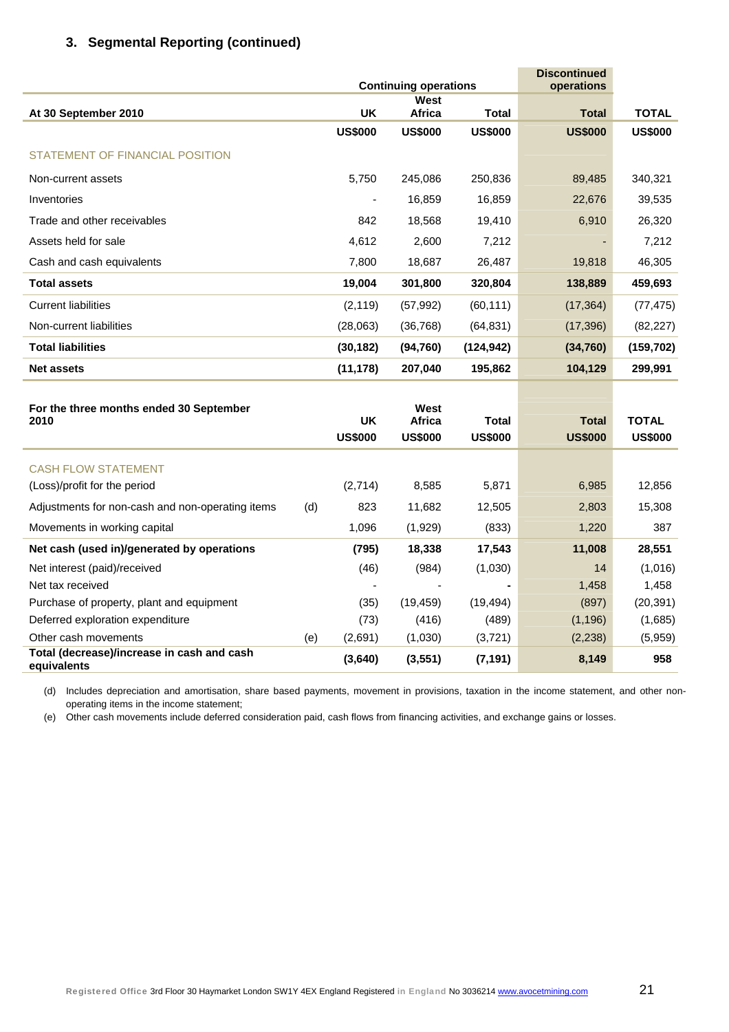|                                                           |     |                             | <b>Continuing operations</b>     | <b>Discontinued</b><br>operations |                                |                                |
|-----------------------------------------------------------|-----|-----------------------------|----------------------------------|-----------------------------------|--------------------------------|--------------------------------|
|                                                           |     |                             | West                             |                                   |                                |                                |
| At 30 September 2010                                      |     | <b>UK</b>                   | Africa                           | <b>Total</b>                      | <b>Total</b>                   | <b>TOTAL</b>                   |
|                                                           |     | <b>US\$000</b>              | <b>US\$000</b>                   | <b>US\$000</b>                    | <b>US\$000</b>                 | <b>US\$000</b>                 |
| STATEMENT OF FINANCIAL POSITION                           |     |                             |                                  |                                   |                                |                                |
| Non-current assets                                        |     | 5,750                       | 245,086                          | 250,836                           | 89,485                         | 340,321                        |
| Inventories                                               |     | ٠                           | 16,859                           | 16,859                            | 22,676                         | 39,535                         |
| Trade and other receivables                               |     | 842                         | 18,568                           | 19,410                            | 6,910                          | 26,320                         |
| Assets held for sale                                      |     | 4,612                       | 2,600                            | 7,212                             |                                | 7,212                          |
| Cash and cash equivalents                                 |     | 7,800                       | 18,687                           | 26,487                            | 19,818                         | 46,305                         |
| <b>Total assets</b>                                       |     | 19,004                      | 301,800                          | 320,804                           | 138,889                        | 459,693                        |
| <b>Current liabilities</b>                                |     | (2, 119)                    | (57, 992)                        | (60, 111)                         | (17, 364)                      | (77, 475)                      |
| Non-current liabilities                                   |     | (28,063)                    | (36, 768)                        | (64, 831)                         | (17, 396)                      | (82, 227)                      |
| <b>Total liabilities</b>                                  |     | (30, 182)                   | (94, 760)                        | (124, 942)                        | (34, 760)                      | (159, 702)                     |
| <b>Net assets</b>                                         |     | (11, 178)                   | 207,040                          | 195,862                           | 104,129                        | 299,991                        |
| For the three months ended 30 September<br>2010           |     | <b>UK</b><br><b>US\$000</b> | West<br>Africa<br><b>US\$000</b> | Total<br><b>US\$000</b>           | <b>Total</b><br><b>US\$000</b> | <b>TOTAL</b><br><b>US\$000</b> |
| <b>CASH FLOW STATEMENT</b>                                |     |                             |                                  |                                   |                                |                                |
| (Loss)/profit for the period                              |     | (2,714)                     | 8,585                            | 5,871                             | 6,985                          | 12,856                         |
| Adjustments for non-cash and non-operating items          | (d) | 823                         | 11,682                           | 12,505                            | 2,803                          | 15,308                         |
| Movements in working capital                              |     | 1,096                       | (1,929)                          | (833)                             | 1,220                          | 387                            |
| Net cash (used in)/generated by operations                |     | (795)                       | 18,338                           | 17,543                            | 11,008                         | 28,551                         |
| Net interest (paid)/received                              |     | (46)                        | (984)                            | (1,030)                           | 14                             | (1,016)                        |
| Net tax received                                          |     |                             |                                  |                                   | 1,458                          | 1,458                          |
| Purchase of property, plant and equipment                 |     | (35)                        | (19, 459)                        | (19, 494)                         | (897)                          | (20, 391)                      |
| Deferred exploration expenditure                          |     | (73)                        | (416)                            | (489)                             | (1, 196)                       | (1,685)                        |
| Other cash movements                                      | (e) | (2,691)                     | (1,030)                          | (3,721)                           | (2, 238)                       | (5,959)                        |
| Total (decrease)/increase in cash and cash<br>equivalents |     | (3,640)                     | (3, 551)                         | (7, 191)                          | 8,149                          | 958                            |

(d) Includes depreciation and amortisation, share based payments, movement in provisions, taxation in the income statement, and other nonoperating items in the income statement;

(e) Other cash movements include deferred consideration paid, cash flows from financing activities, and exchange gains or losses.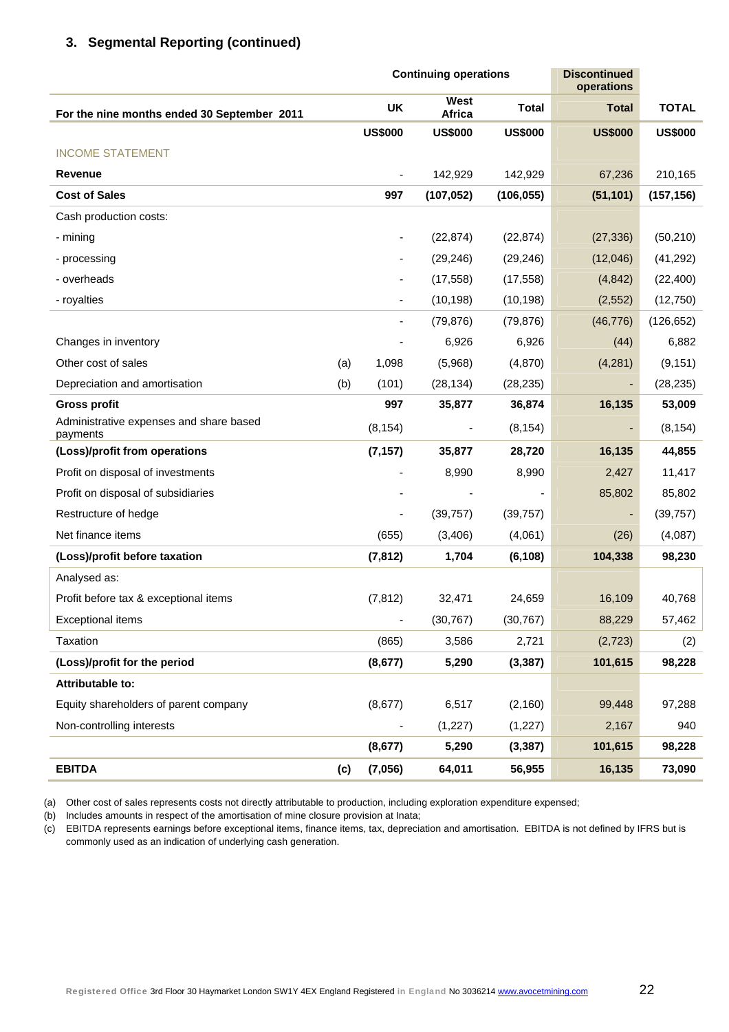|                                                     |     |                              | <b>Continuing operations</b> | <b>Discontinued</b><br>operations |                |                |
|-----------------------------------------------------|-----|------------------------------|------------------------------|-----------------------------------|----------------|----------------|
| For the nine months ended 30 September 2011         |     | <b>UK</b>                    | West<br>Africa               | <b>Total</b>                      | <b>Total</b>   | <b>TOTAL</b>   |
|                                                     |     | <b>US\$000</b>               | <b>US\$000</b>               | <b>US\$000</b>                    | <b>US\$000</b> | <b>US\$000</b> |
| <b>INCOME STATEMENT</b>                             |     |                              |                              |                                   |                |                |
| <b>Revenue</b>                                      |     |                              | 142,929                      | 142,929                           | 67,236         | 210,165        |
| <b>Cost of Sales</b>                                |     | 997                          | (107, 052)                   | (106, 055)                        | (51, 101)      | (157, 156)     |
| Cash production costs:                              |     |                              |                              |                                   |                |                |
| - mining                                            |     | -                            | (22, 874)                    | (22, 874)                         | (27, 336)      | (50, 210)      |
| - processing                                        |     | -                            | (29, 246)                    | (29, 246)                         | (12,046)       | (41, 292)      |
| - overheads                                         |     |                              | (17, 558)                    | (17, 558)                         | (4, 842)       | (22, 400)      |
| - royalties                                         |     | -                            | (10, 198)                    | (10, 198)                         | (2,552)        | (12,750)       |
|                                                     |     | -                            | (79, 876)                    | (79, 876)                         | (46, 776)      | (126, 652)     |
| Changes in inventory                                |     |                              | 6,926                        | 6,926                             | (44)           | 6,882          |
| Other cost of sales                                 | (a) | 1,098                        | (5,968)                      | (4,870)                           | (4,281)        | (9, 151)       |
| Depreciation and amortisation                       | (b) | (101)                        | (28, 134)                    | (28, 235)                         |                | (28, 235)      |
| <b>Gross profit</b>                                 |     | 997                          | 35,877                       | 36,874                            | 16,135         | 53,009         |
| Administrative expenses and share based<br>payments |     | (8, 154)                     |                              | (8, 154)                          |                | (8, 154)       |
| (Loss)/profit from operations                       |     | (7, 157)                     | 35,877                       | 28,720                            | 16,135         | 44,855         |
| Profit on disposal of investments                   |     |                              | 8,990                        | 8,990                             | 2,427          | 11,417         |
| Profit on disposal of subsidiaries                  |     |                              |                              |                                   | 85,802         | 85,802         |
| Restructure of hedge                                |     |                              | (39, 757)                    | (39, 757)                         |                | (39, 757)      |
| Net finance items                                   |     | (655)                        | (3, 406)                     | (4,061)                           | (26)           | (4,087)        |
| (Loss)/profit before taxation                       |     | (7, 812)                     | 1,704                        | (6, 108)                          | 104,338        | 98,230         |
| Analysed as:                                        |     |                              |                              |                                   |                |                |
| Profit before tax & exceptional items               |     | (7, 812)                     | 32,471                       | 24,659                            | 16,109         | 40,768         |
| <b>Exceptional items</b>                            |     | $\qquad \qquad \blacksquare$ | (30, 767)                    | (30, 767)                         | 88,229         | 57,462         |
| Taxation                                            |     | (865)                        | 3,586                        | 2,721                             | (2, 723)       | (2)            |
| (Loss)/profit for the period                        |     | (8,677)                      | 5,290                        | (3, 387)                          | 101,615        | 98,228         |
| <b>Attributable to:</b>                             |     |                              |                              |                                   |                |                |
| Equity shareholders of parent company               |     | (8,677)                      | 6,517                        | (2, 160)                          | 99,448         | 97,288         |
| Non-controlling interests                           |     |                              | (1, 227)                     | (1, 227)                          | 2,167          | 940            |
|                                                     |     | (8, 677)                     | 5,290                        | (3, 387)                          | 101,615        | 98,228         |
| <b>EBITDA</b>                                       | (c) | (7,056)                      | 64,011                       | 56,955                            | 16,135         | 73,090         |

(a) Other cost of sales represents costs not directly attributable to production, including exploration expenditure expensed;

(b) Includes amounts in respect of the amortisation of mine closure provision at Inata;

(c) EBITDA represents earnings before exceptional items, finance items, tax, depreciation and amortisation. EBITDA is not defined by IFRS but is commonly used as an indication of underlying cash generation.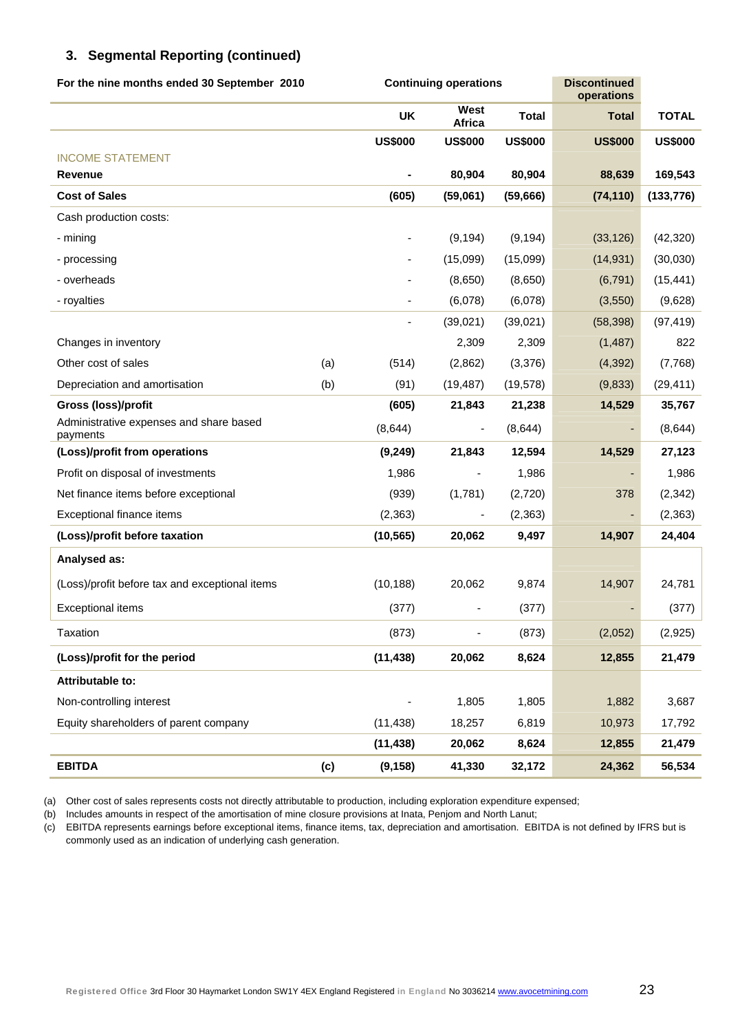| For the nine months ended 30 September 2010         |     |                          | <b>Continuing operations</b> | <b>Discontinued</b><br>operations |                |                |
|-----------------------------------------------------|-----|--------------------------|------------------------------|-----------------------------------|----------------|----------------|
|                                                     |     | UK                       | West<br><b>Africa</b>        | <b>Total</b>                      | <b>Total</b>   | <b>TOTAL</b>   |
|                                                     |     | <b>US\$000</b>           | <b>US\$000</b>               | <b>US\$000</b>                    | <b>US\$000</b> | <b>US\$000</b> |
| <b>INCOME STATEMENT</b>                             |     |                          |                              |                                   |                |                |
| Revenue                                             |     |                          | 80,904                       | 80,904                            | 88,639         | 169,543        |
| <b>Cost of Sales</b>                                |     | (605)                    | (59,061)                     | (59,666)                          | (74, 110)      | (133, 776)     |
| Cash production costs:                              |     |                          |                              |                                   |                |                |
| - mining                                            |     | $\overline{\phantom{0}}$ | (9, 194)                     | (9, 194)                          | (33, 126)      | (42, 320)      |
| - processing                                        |     | -                        | (15,099)                     | (15,099)                          | (14, 931)      | (30,030)       |
| - overheads                                         |     |                          | (8,650)                      | (8,650)                           | (6, 791)       | (15, 441)      |
| - royalties                                         |     |                          | (6,078)                      | (6,078)                           | (3,550)        | (9,628)        |
|                                                     |     |                          | (39,021)                     | (39,021)                          | (58, 398)      | (97, 419)      |
| Changes in inventory                                |     |                          | 2,309                        | 2,309                             | (1,487)        | 822            |
| Other cost of sales                                 | (a) | (514)                    | (2,862)                      | (3,376)                           | (4, 392)       | (7,768)        |
| Depreciation and amortisation                       | (b) | (91)                     | (19, 487)                    | (19, 578)                         | (9,833)        | (29, 411)      |
| Gross (loss)/profit                                 |     | (605)                    | 21,843                       | 21,238                            | 14,529         | 35,767         |
| Administrative expenses and share based<br>payments |     | (8,644)                  | $\overline{\phantom{a}}$     | (8,644)                           |                | (8,644)        |
| (Loss)/profit from operations                       |     | (9, 249)                 | 21,843                       | 12,594                            | 14,529         | 27,123         |
| Profit on disposal of investments                   |     | 1,986                    | $\overline{\phantom{a}}$     | 1,986                             |                | 1,986          |
| Net finance items before exceptional                |     | (939)                    | (1,781)                      | (2,720)                           | 378            | (2, 342)       |
| Exceptional finance items                           |     | (2,363)                  |                              | (2, 363)                          |                | (2, 363)       |
| (Loss)/profit before taxation                       |     | (10, 565)                | 20,062                       | 9,497                             | 14,907         | 24,404         |
| Analysed as:                                        |     |                          |                              |                                   |                |                |
| (Loss)/profit before tax and exceptional items      |     | (10, 188)                | 20,062                       | 9,874                             | 14,907         | 24,781         |
| <b>Exceptional items</b>                            |     | (377)                    |                              | (377)                             |                | (377)          |
| Taxation                                            |     | (873)                    | $\overline{\phantom{0}}$     | (873)                             | (2,052)        | (2,925)        |
| (Loss)/profit for the period                        |     | (11, 438)                | 20,062                       | 8,624                             | 12,855         | 21,479         |
| Attributable to:                                    |     |                          |                              |                                   |                |                |
| Non-controlling interest                            |     |                          | 1,805                        | 1,805                             | 1,882          | 3,687          |
| Equity shareholders of parent company               |     | (11, 438)                | 18,257                       | 6,819                             | 10,973         | 17,792         |
|                                                     |     | (11, 438)                | 20,062                       | 8,624                             | 12,855         | 21,479         |
| <b>EBITDA</b>                                       | (c) | (9, 158)                 | 41,330                       | 32,172                            | 24,362         | 56,534         |

(a) Other cost of sales represents costs not directly attributable to production, including exploration expenditure expensed;

(b) Includes amounts in respect of the amortisation of mine closure provisions at Inata, Penjom and North Lanut;

(c) EBITDA represents earnings before exceptional items, finance items, tax, depreciation and amortisation. EBITDA is not defined by IFRS but is commonly used as an indication of underlying cash generation.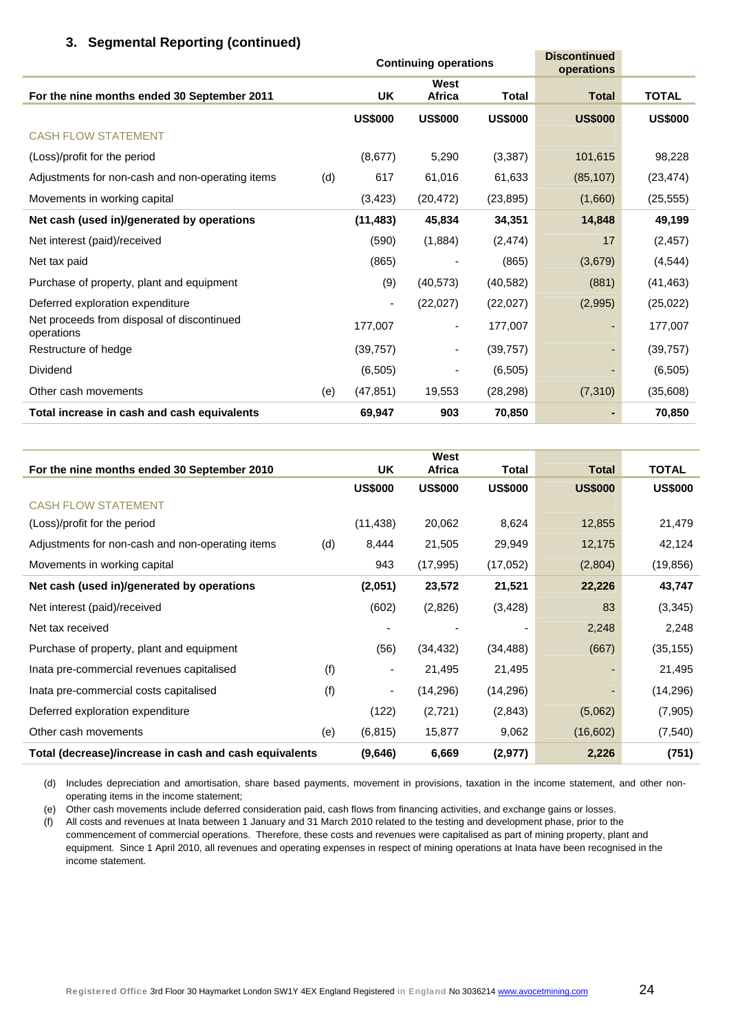|                                                          |     |                | <b>Continuing operations</b> | <b>Discontinued</b><br>operations |                |                |
|----------------------------------------------------------|-----|----------------|------------------------------|-----------------------------------|----------------|----------------|
| For the nine months ended 30 September 2011              |     | UK             | West<br>Africa               | Total                             | <b>Total</b>   | <b>TOTAL</b>   |
|                                                          |     | <b>US\$000</b> | <b>US\$000</b>               | <b>US\$000</b>                    | <b>US\$000</b> | <b>US\$000</b> |
| <b>CASH FLOW STATEMENT</b>                               |     |                |                              |                                   |                |                |
| (Loss)/profit for the period                             |     | (8,677)        | 5,290                        | (3, 387)                          | 101,615        | 98,228         |
| Adjustments for non-cash and non-operating items         | (d) | 617            | 61,016                       | 61,633                            | (85, 107)      | (23, 474)      |
| Movements in working capital                             |     | (3, 423)       | (20, 472)                    | (23, 895)                         | (1,660)        | (25, 555)      |
| Net cash (used in)/generated by operations               |     | (11, 483)      | 45,834                       | 34,351                            | 14,848         | 49,199         |
| Net interest (paid)/received                             |     | (590)          | (1,884)                      | (2, 474)                          | 17             | (2, 457)       |
| Net tax paid                                             |     | (865)          |                              | (865)                             | (3,679)        | (4, 544)       |
| Purchase of property, plant and equipment                |     | (9)            | (40, 573)                    | (40, 582)                         | (881)          | (41, 463)      |
| Deferred exploration expenditure                         |     |                | (22,027)                     | (22,027)                          | (2,995)        | (25, 022)      |
| Net proceeds from disposal of discontinued<br>operations |     | 177,007        | ٠                            | 177,007                           |                | 177,007        |
| Restructure of hedge                                     |     | (39, 757)      |                              | (39, 757)                         |                | (39, 757)      |
| Dividend                                                 |     | (6, 505)       |                              | (6, 505)                          |                | (6, 505)       |
| Other cash movements                                     | (e) | (47, 851)      | 19,553                       | (28, 298)                         | (7,310)        | (35,608)       |
| Total increase in cash and cash equivalents              |     | 69,947         | 903                          | 70,850                            |                | 70,850         |

|                                                        |     |                          | West           |                |                |                |
|--------------------------------------------------------|-----|--------------------------|----------------|----------------|----------------|----------------|
| For the nine months ended 30 September 2010            |     | UK                       | <b>Africa</b>  | Total          | <b>Total</b>   | <b>TOTAL</b>   |
|                                                        |     | <b>US\$000</b>           | <b>US\$000</b> | <b>US\$000</b> | <b>US\$000</b> | <b>US\$000</b> |
| <b>CASH FLOW STATEMENT</b>                             |     |                          |                |                |                |                |
| (Loss)/profit for the period                           |     | (11, 438)                | 20,062         | 8,624          | 12,855         | 21,479         |
| Adjustments for non-cash and non-operating items       | (d) | 8,444                    | 21,505         | 29,949         | 12,175         | 42,124         |
| Movements in working capital                           |     | 943                      | (17, 995)      | (17,052)       | (2,804)        | (19, 856)      |
| Net cash (used in)/generated by operations             |     | (2,051)                  | 23,572         | 21,521         | 22,226         | 43,747         |
| Net interest (paid)/received                           |     | (602)                    | (2,826)        | (3, 428)       | 83             | (3,345)        |
| Net tax received                                       |     |                          |                | -              | 2,248          | 2,248          |
| Purchase of property, plant and equipment              |     | (56)                     | (34, 432)      | (34, 488)      | (667)          | (35, 155)      |
| Inata pre-commercial revenues capitalised              | (f) | $\overline{\phantom{a}}$ | 21,495         | 21,495         |                | 21,495         |
| Inata pre-commercial costs capitalised                 | (f) | $\overline{\phantom{a}}$ | (14, 296)      | (14, 296)      |                | (14, 296)      |
| Deferred exploration expenditure                       |     | (122)                    | (2,721)        | (2,843)        | (5,062)        | (7,905)        |
| Other cash movements                                   | (e) | (6, 815)                 | 15,877         | 9,062          | (16,602)       | (7, 540)       |
| Total (decrease)/increase in cash and cash equivalents |     | (9,646)                  | 6,669          | (2,977)        | 2,226          | (751)          |

(d) Includes depreciation and amortisation, share based payments, movement in provisions, taxation in the income statement, and other nonoperating items in the income statement;

(e) Other cash movements include deferred consideration paid, cash flows from financing activities, and exchange gains or losses.

(f) All costs and revenues at Inata between 1 January and 31 March 2010 related to the testing and development phase, prior to the commencement of commercial operations. Therefore, these costs and revenues were capitalised as part of mining property, plant and equipment. Since 1 April 2010, all revenues and operating expenses in respect of mining operations at Inata have been recognised in the income statement.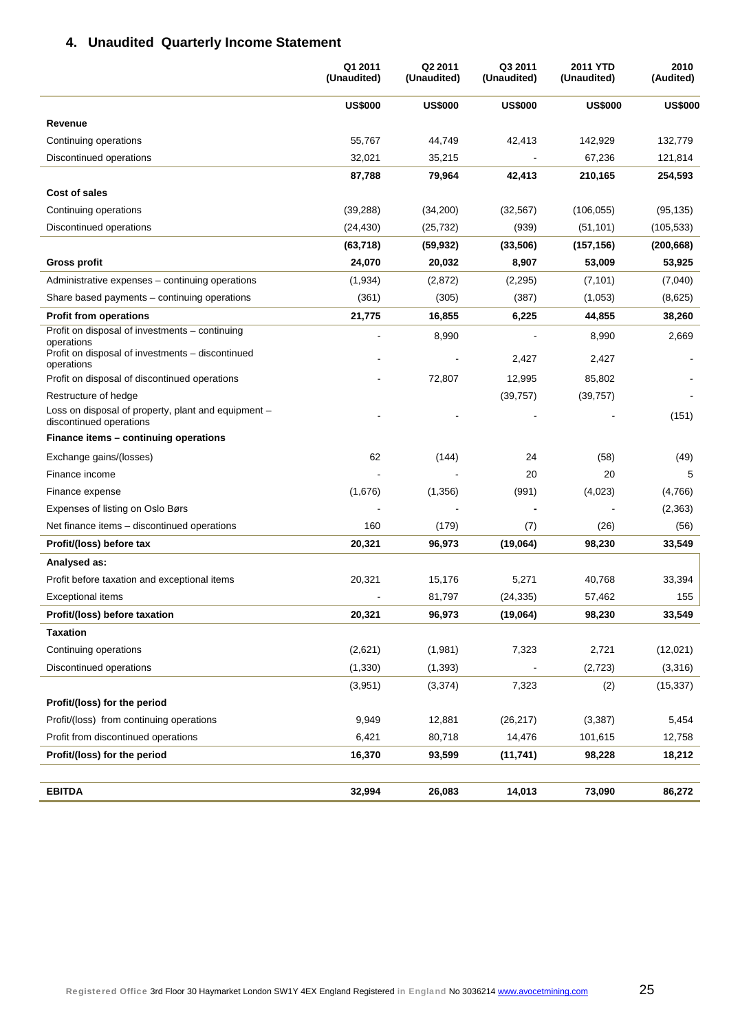# **4. Unaudited Quarterly Income Statement**

|                                                                                | Q1 2011<br>(Unaudited) | Q2 2011<br>(Unaudited) | Q3 2011<br>(Unaudited) | <b>2011 YTD</b><br>(Unaudited) | 2010<br>(Audited) |
|--------------------------------------------------------------------------------|------------------------|------------------------|------------------------|--------------------------------|-------------------|
|                                                                                | <b>US\$000</b>         | <b>US\$000</b>         | <b>US\$000</b>         | <b>US\$000</b>                 | <b>US\$000</b>    |
| Revenue                                                                        |                        |                        |                        |                                |                   |
| Continuing operations                                                          | 55,767                 | 44,749                 | 42,413                 | 142,929                        | 132,779           |
| Discontinued operations                                                        | 32,021                 | 35,215                 |                        | 67,236                         | 121,814           |
|                                                                                | 87,788                 | 79,964                 | 42,413                 | 210,165                        | 254,593           |
| Cost of sales                                                                  |                        |                        |                        |                                |                   |
| Continuing operations                                                          | (39, 288)              | (34,200)               | (32, 567)              | (106, 055)                     | (95, 135)         |
| Discontinued operations                                                        | (24, 430)              | (25, 732)              | (939)                  | (51, 101)                      | (105, 533)        |
|                                                                                | (63, 718)              | (59, 932)              | (33, 506)              | (157, 156)                     | (200, 668)        |
| <b>Gross profit</b>                                                            | 24,070                 | 20,032                 | 8,907                  | 53,009                         | 53,925            |
| Administrative expenses – continuing operations                                | (1,934)                | (2,872)                | (2,295)                | (7, 101)                       | (7,040)           |
| Share based payments - continuing operations                                   | (361)                  | (305)                  | (387)                  | (1,053)                        | (8,625)           |
| <b>Profit from operations</b>                                                  | 21,775                 | 16,855                 | 6,225                  | 44,855                         | 38,260            |
| Profit on disposal of investments - continuing<br>operations                   |                        | 8,990                  |                        | 8,990                          | 2,669             |
| Profit on disposal of investments - discontinued<br>operations                 |                        |                        | 2,427                  | 2,427                          |                   |
| Profit on disposal of discontinued operations                                  |                        | 72.807                 | 12,995                 | 85,802                         |                   |
| Restructure of hedge                                                           |                        |                        | (39, 757)              | (39, 757)                      |                   |
| Loss on disposal of property, plant and equipment -<br>discontinued operations |                        |                        |                        |                                | (151)             |
| Finance items – continuing operations                                          |                        |                        |                        |                                |                   |
| Exchange gains/(losses)                                                        | 62                     | (144)                  | 24                     | (58)                           | (49)              |
| Finance income                                                                 |                        |                        | 20                     | 20                             | 5                 |
| Finance expense                                                                | (1,676)                | (1,356)                | (991)                  | (4,023)                        | (4,766)           |
| Expenses of listing on Oslo Børs                                               |                        |                        |                        |                                | (2, 363)          |
| Net finance items - discontinued operations                                    | 160                    | (179)                  | (7)                    | (26)                           | (56)              |
| Profit/(loss) before tax                                                       | 20,321                 | 96,973                 | (19,064)               | 98,230                         | 33,549            |
| Analysed as:                                                                   |                        |                        |                        |                                |                   |
| Profit before taxation and exceptional items                                   | 20,321                 | 15,176                 | 5,271                  | 40,768                         | 33,394            |
| Exceptional items                                                              |                        | 81,797                 | (24, 335)              | 57,462                         | 155               |
| Profit/(loss) before taxation                                                  | 20,321                 | 96,973                 | (19,064)               | 98,230                         | 33,549            |
| <b>Taxation</b>                                                                |                        |                        |                        |                                |                   |
| Continuing operations                                                          | (2,621)                | (1,981)                | 7,323                  | 2,721                          | (12,021)          |
| Discontinued operations                                                        | (1, 330)               | (1, 393)               |                        | (2, 723)                       | (3,316)           |
|                                                                                | (3,951)                | (3,374)                | 7,323                  | (2)                            | (15, 337)         |
| Profit/(loss) for the period                                                   |                        |                        |                        |                                |                   |
| Profit/(loss) from continuing operations                                       | 9,949                  | 12,881                 | (26, 217)              | (3, 387)                       | 5,454             |
| Profit from discontinued operations                                            | 6,421                  | 80,718                 | 14,476                 | 101,615                        | 12,758            |
| Profit/(loss) for the period                                                   | 16,370                 | 93,599                 | (11, 741)              | 98,228                         | 18,212            |
|                                                                                |                        |                        |                        |                                |                   |
| <b>EBITDA</b>                                                                  | 32,994                 | 26,083                 | 14,013                 | 73,090                         | 86,272            |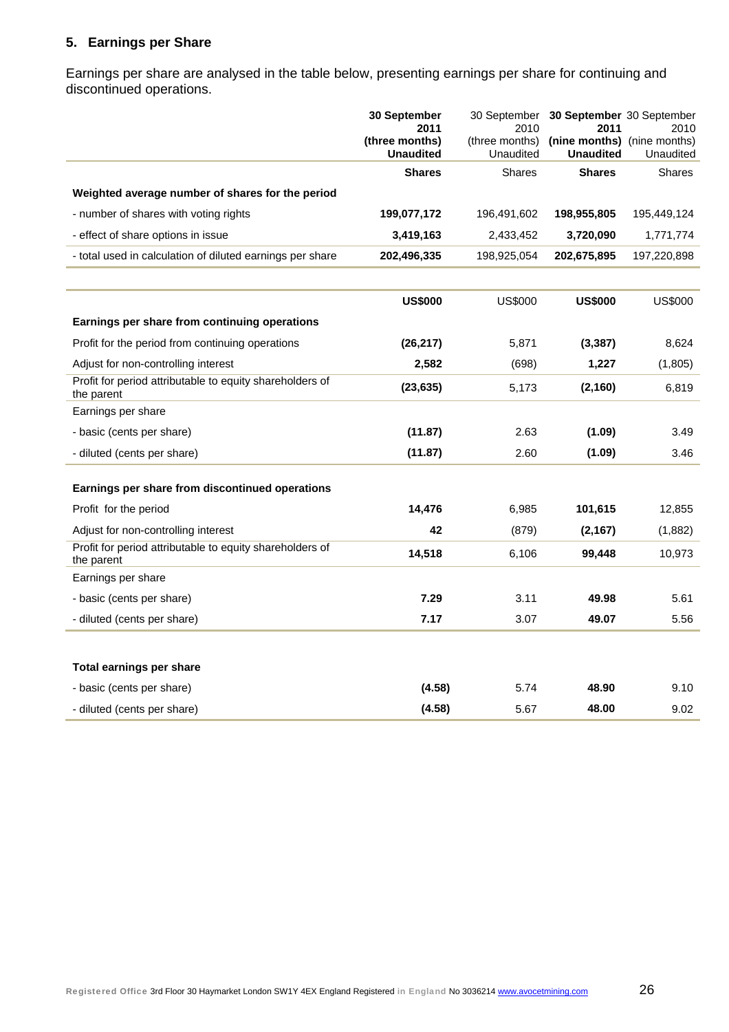# **5. Earnings per Share**

Earnings per share are analysed in the table below, presenting earnings per share for continuing and discontinued operations.

|                                                                        | 30 September<br>30 September<br>2011<br>2010 |                             | 30 September 30 September<br>2011               | 2010          |
|------------------------------------------------------------------------|----------------------------------------------|-----------------------------|-------------------------------------------------|---------------|
|                                                                        | (three months)<br><b>Unaudited</b>           | (three months)<br>Unaudited | (nine months) (nine months)<br><b>Unaudited</b> | Unaudited     |
|                                                                        | <b>Shares</b>                                | <b>Shares</b>               | <b>Shares</b>                                   | <b>Shares</b> |
| Weighted average number of shares for the period                       |                                              |                             |                                                 |               |
| - number of shares with voting rights                                  | 199,077,172                                  | 196,491,602                 | 198,955,805                                     | 195,449,124   |
| - effect of share options in issue                                     | 3,419,163                                    | 2,433,452                   | 3,720,090                                       | 1,771,774     |
| - total used in calculation of diluted earnings per share              | 202,496,335                                  | 198,925,054                 | 202,675,895                                     | 197,220,898   |
|                                                                        |                                              |                             |                                                 |               |
|                                                                        | <b>US\$000</b>                               | <b>US\$000</b>              | <b>US\$000</b>                                  | US\$000       |
| Earnings per share from continuing operations                          |                                              |                             |                                                 |               |
| Profit for the period from continuing operations                       | (26, 217)                                    | 5,871                       | (3, 387)                                        | 8,624         |
| Adjust for non-controlling interest                                    | 2,582                                        | (698)                       | 1,227                                           | (1,805)       |
| Profit for period attributable to equity shareholders of<br>the parent | (23, 635)                                    | 5,173                       | (2, 160)                                        | 6,819         |
| Earnings per share                                                     |                                              |                             |                                                 |               |
| - basic (cents per share)                                              | (11.87)                                      | 2.63                        | (1.09)                                          | 3.49          |
| - diluted (cents per share)                                            | (11.87)                                      | 2.60                        | (1.09)                                          | 3.46          |
| Earnings per share from discontinued operations                        |                                              |                             |                                                 |               |
| Profit for the period                                                  | 14,476                                       | 6,985                       | 101,615                                         | 12,855        |
| Adjust for non-controlling interest                                    | 42                                           | (879)                       | (2, 167)                                        | (1,882)       |
| Profit for period attributable to equity shareholders of<br>the parent | 14,518                                       | 6,106                       | 99,448                                          | 10,973        |
| Earnings per share                                                     |                                              |                             |                                                 |               |
| - basic (cents per share)                                              | 7.29                                         | 3.11                        | 49.98                                           | 5.61          |
| - diluted (cents per share)                                            | 7.17                                         | 3.07                        | 49.07                                           | 5.56          |
|                                                                        |                                              |                             |                                                 |               |
| Total earnings per share                                               |                                              |                             |                                                 |               |
| - basic (cents per share)                                              | (4.58)                                       | 5.74                        | 48.90                                           | 9.10          |
| - diluted (cents per share)                                            | (4.58)                                       | 5.67                        | 48.00                                           | 9.02          |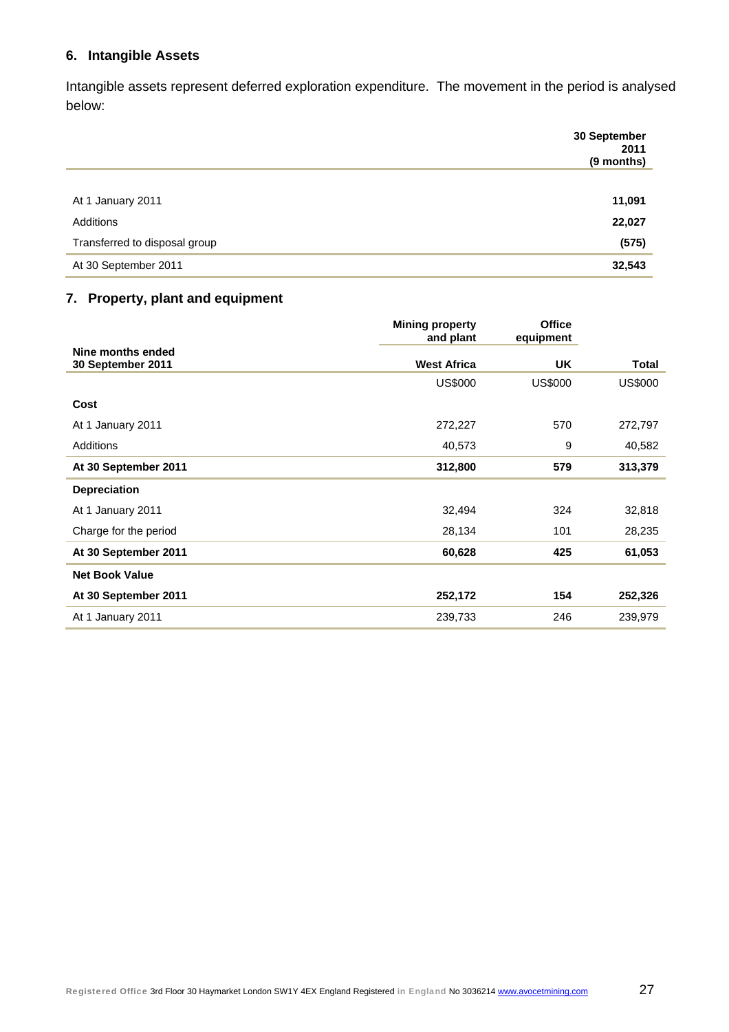# **6. Intangible Assets**

Intangible assets represent deferred exploration expenditure. The movement in the period is analysed below:

|                               | 30 September<br>2011<br>(9 months) |
|-------------------------------|------------------------------------|
|                               |                                    |
| At 1 January 2011             | 11,091                             |
| Additions                     | 22,027                             |
| Transferred to disposal group | (575)                              |
| At 30 September 2011          | 32,543                             |

# **7. Property, plant and equipment**

|                                        | <b>Mining property</b><br>and plant | <b>Office</b><br>equipment |                |
|----------------------------------------|-------------------------------------|----------------------------|----------------|
| Nine months ended<br>30 September 2011 | <b>West Africa</b>                  | UK                         | <b>Total</b>   |
|                                        | <b>US\$000</b>                      | <b>US\$000</b>             | <b>US\$000</b> |
| Cost                                   |                                     |                            |                |
| At 1 January 2011                      | 272,227                             | 570                        | 272,797        |
| Additions                              | 40,573                              | 9                          | 40,582         |
| At 30 September 2011                   | 312,800                             | 579                        | 313,379        |
| <b>Depreciation</b>                    |                                     |                            |                |
| At 1 January 2011                      | 32,494                              | 324                        | 32,818         |
| Charge for the period                  | 28,134                              | 101                        | 28,235         |
| At 30 September 2011                   | 60,628                              | 425                        | 61,053         |
| <b>Net Book Value</b>                  |                                     |                            |                |
| At 30 September 2011                   | 252,172                             | 154                        | 252,326        |
| At 1 January 2011                      | 239,733                             | 246                        | 239,979        |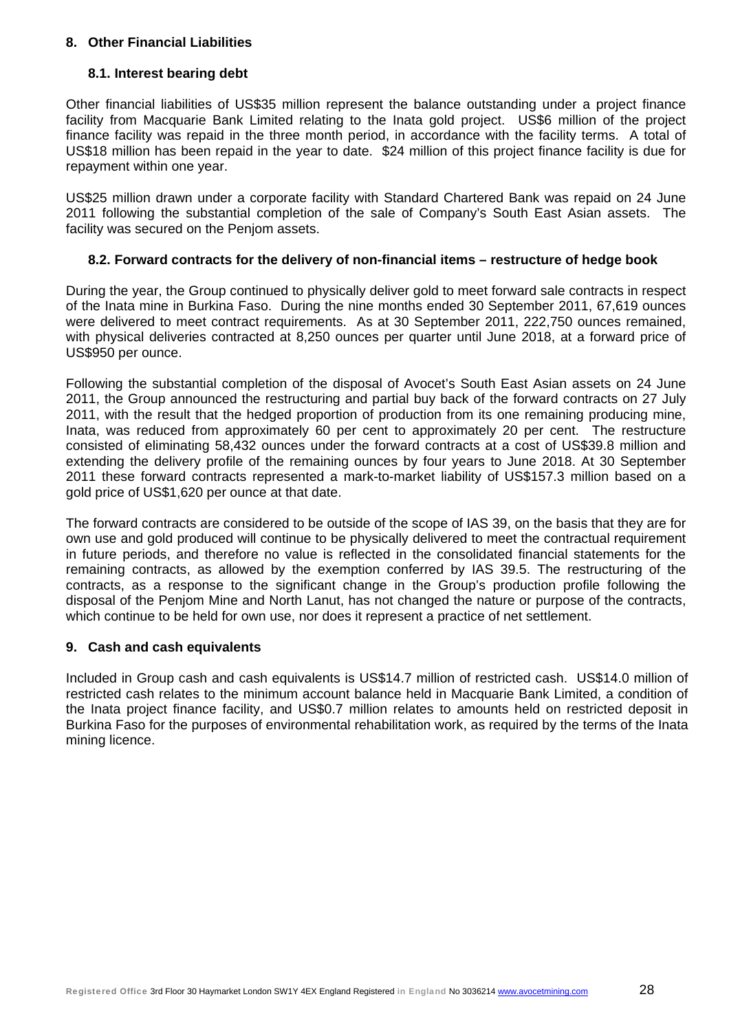#### **8. Other Financial Liabilities**

#### **8.1. Interest bearing debt**

Other financial liabilities of US\$35 million represent the balance outstanding under a project finance facility from Macquarie Bank Limited relating to the Inata gold project. US\$6 million of the project finance facility was repaid in the three month period, in accordance with the facility terms. A total of US\$18 million has been repaid in the year to date. \$24 million of this project finance facility is due for repayment within one year.

US\$25 million drawn under a corporate facility with Standard Chartered Bank was repaid on 24 June 2011 following the substantial completion of the sale of Company's South East Asian assets. The facility was secured on the Penjom assets.

#### **8.2. Forward contracts for the delivery of non-financial items – restructure of hedge book**

During the year, the Group continued to physically deliver gold to meet forward sale contracts in respect of the Inata mine in Burkina Faso. During the nine months ended 30 September 2011, 67,619 ounces were delivered to meet contract requirements. As at 30 September 2011, 222,750 ounces remained, with physical deliveries contracted at 8,250 ounces per quarter until June 2018, at a forward price of US\$950 per ounce.

Following the substantial completion of the disposal of Avocet's South East Asian assets on 24 June 2011, the Group announced the restructuring and partial buy back of the forward contracts on 27 July 2011, with the result that the hedged proportion of production from its one remaining producing mine, Inata, was reduced from approximately 60 per cent to approximately 20 per cent. The restructure consisted of eliminating 58,432 ounces under the forward contracts at a cost of US\$39.8 million and extending the delivery profile of the remaining ounces by four years to June 2018. At 30 September 2011 these forward contracts represented a mark-to-market liability of US\$157.3 million based on a gold price of US\$1,620 per ounce at that date.

The forward contracts are considered to be outside of the scope of IAS 39, on the basis that they are for own use and gold produced will continue to be physically delivered to meet the contractual requirement in future periods, and therefore no value is reflected in the consolidated financial statements for the remaining contracts, as allowed by the exemption conferred by IAS 39.5. The restructuring of the contracts, as a response to the significant change in the Group's production profile following the disposal of the Penjom Mine and North Lanut, has not changed the nature or purpose of the contracts, which continue to be held for own use, nor does it represent a practice of net settlement.

#### **9. Cash and cash equivalents**

Included in Group cash and cash equivalents is US\$14.7 million of restricted cash. US\$14.0 million of restricted cash relates to the minimum account balance held in Macquarie Bank Limited, a condition of the Inata project finance facility, and US\$0.7 million relates to amounts held on restricted deposit in Burkina Faso for the purposes of environmental rehabilitation work, as required by the terms of the Inata mining licence.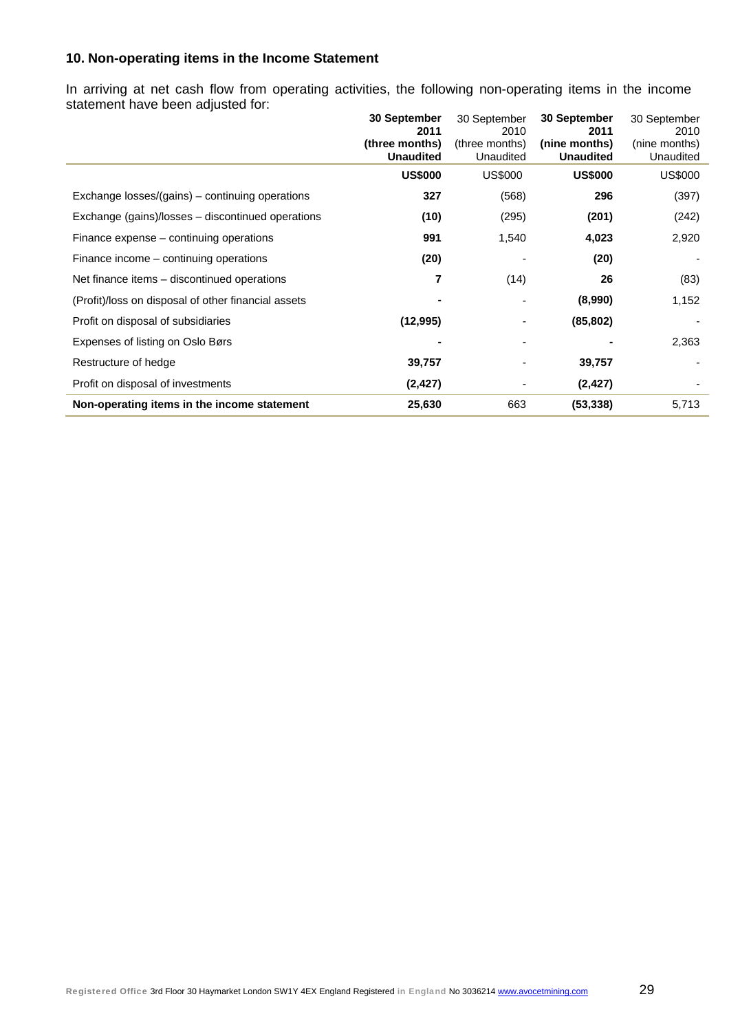# **10. Non-operating items in the Income Statement**

In arriving at net cash flow from operating activities, the following non-operating items in the income statement have been adjusted for:

|                                                     | <b>30 September</b><br>2011        | 30 September<br>2010        | 30 September<br>2011              | 30 September<br>2010       |
|-----------------------------------------------------|------------------------------------|-----------------------------|-----------------------------------|----------------------------|
|                                                     | (three months)<br><b>Unaudited</b> | (three months)<br>Unaudited | (nine months)<br><b>Unaudited</b> | (nine months)<br>Unaudited |
|                                                     | <b>US\$000</b>                     | <b>US\$000</b>              | <b>US\$000</b>                    | US\$000                    |
| Exchange losses/(gains) – continuing operations     | 327                                | (568)                       | 296                               | (397)                      |
| Exchange (gains)/losses – discontinued operations   | (10)                               | (295)                       | (201)                             | (242)                      |
| Finance expense – continuing operations             | 991                                | 1,540                       | 4,023                             | 2,920                      |
| Finance income – continuing operations              | (20)                               |                             | (20)                              |                            |
| Net finance items – discontinued operations         | 7                                  | (14)                        | 26                                | (83)                       |
| (Profit)/loss on disposal of other financial assets |                                    |                             | (8,990)                           | 1,152                      |
| Profit on disposal of subsidiaries                  | (12, 995)                          |                             | (85, 802)                         |                            |
| Expenses of listing on Oslo Børs                    |                                    |                             |                                   | 2,363                      |
| Restructure of hedge                                | 39,757                             |                             | 39,757                            |                            |
| Profit on disposal of investments                   | (2, 427)                           |                             | (2, 427)                          |                            |
| Non-operating items in the income statement         | 25,630                             | 663                         | (53, 338)                         | 5,713                      |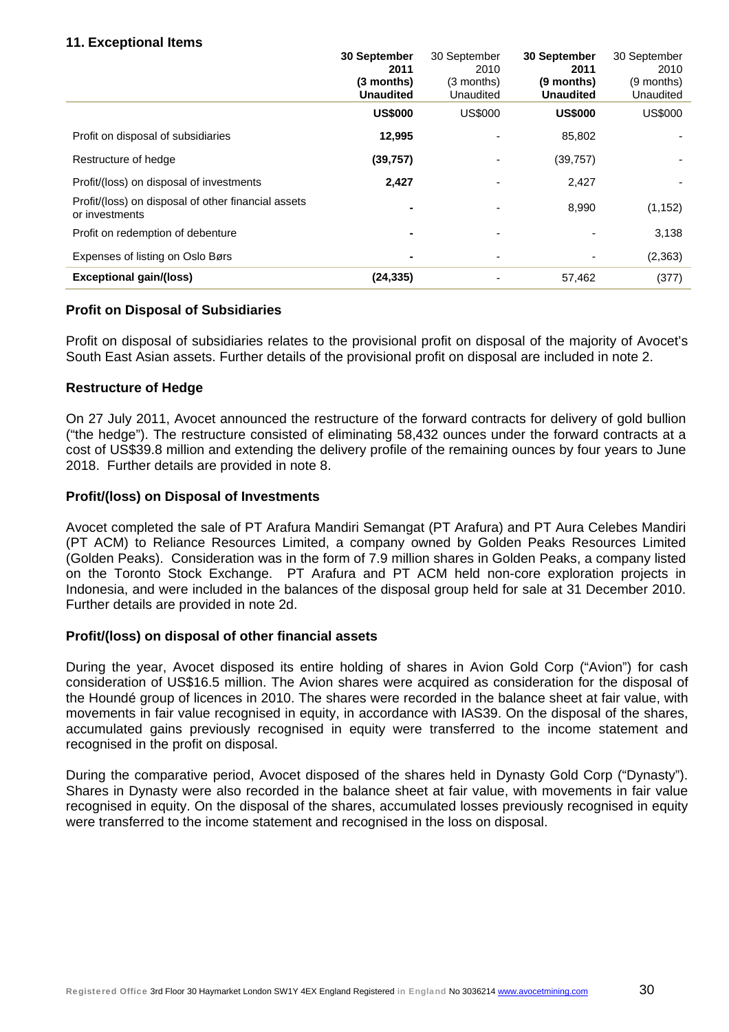### **11. Exceptional Items**

|                                                                       | 30 September<br>2011<br>(3 months)<br><b>Unaudited</b> | 30 September<br>2010<br>(3 months)<br>Unaudited | 30 September<br>2011<br>(9 months)<br><b>Unaudited</b> | 30 September<br>2010<br>(9 months)<br>Unaudited |
|-----------------------------------------------------------------------|--------------------------------------------------------|-------------------------------------------------|--------------------------------------------------------|-------------------------------------------------|
|                                                                       | <b>US\$000</b>                                         | <b>US\$000</b>                                  | <b>US\$000</b>                                         | <b>US\$000</b>                                  |
| Profit on disposal of subsidiaries                                    | 12,995                                                 |                                                 | 85,802                                                 |                                                 |
| Restructure of hedge                                                  | (39, 757)                                              |                                                 | (39, 757)                                              |                                                 |
| Profit/(loss) on disposal of investments                              | 2,427                                                  |                                                 | 2,427                                                  |                                                 |
| Profit/(loss) on disposal of other financial assets<br>or investments |                                                        |                                                 | 8,990                                                  | (1, 152)                                        |
| Profit on redemption of debenture                                     |                                                        |                                                 |                                                        | 3,138                                           |
| Expenses of listing on Oslo Børs                                      |                                                        |                                                 |                                                        | (2, 363)                                        |
| <b>Exceptional gain/(loss)</b>                                        | (24, 335)                                              |                                                 | 57,462                                                 | (377)                                           |

### **Profit on Disposal of Subsidiaries**

Profit on disposal of subsidiaries relates to the provisional profit on disposal of the majority of Avocet's South East Asian assets. Further details of the provisional profit on disposal are included in note 2.

### **Restructure of Hedge**

On 27 July 2011, Avocet announced the restructure of the forward contracts for delivery of gold bullion ("the hedge"). The restructure consisted of eliminating 58,432 ounces under the forward contracts at a cost of US\$39.8 million and extending the delivery profile of the remaining ounces by four years to June 2018. Further details are provided in note 8.

### **Profit/(loss) on Disposal of Investments**

Avocet completed the sale of PT Arafura Mandiri Semangat (PT Arafura) and PT Aura Celebes Mandiri (PT ACM) to Reliance Resources Limited, a company owned by Golden Peaks Resources Limited (Golden Peaks). Consideration was in the form of 7.9 million shares in Golden Peaks, a company listed on the Toronto Stock Exchange. PT Arafura and PT ACM held non-core exploration projects in Indonesia, and were included in the balances of the disposal group held for sale at 31 December 2010. Further details are provided in note 2d.

#### **Profit/(loss) on disposal of other financial assets**

During the year, Avocet disposed its entire holding of shares in Avion Gold Corp ("Avion") for cash consideration of US\$16.5 million. The Avion shares were acquired as consideration for the disposal of the Houndé group of licences in 2010. The shares were recorded in the balance sheet at fair value, with movements in fair value recognised in equity, in accordance with IAS39. On the disposal of the shares, accumulated gains previously recognised in equity were transferred to the income statement and recognised in the profit on disposal.

During the comparative period, Avocet disposed of the shares held in Dynasty Gold Corp ("Dynasty"). Shares in Dynasty were also recorded in the balance sheet at fair value, with movements in fair value recognised in equity. On the disposal of the shares, accumulated losses previously recognised in equity were transferred to the income statement and recognised in the loss on disposal.